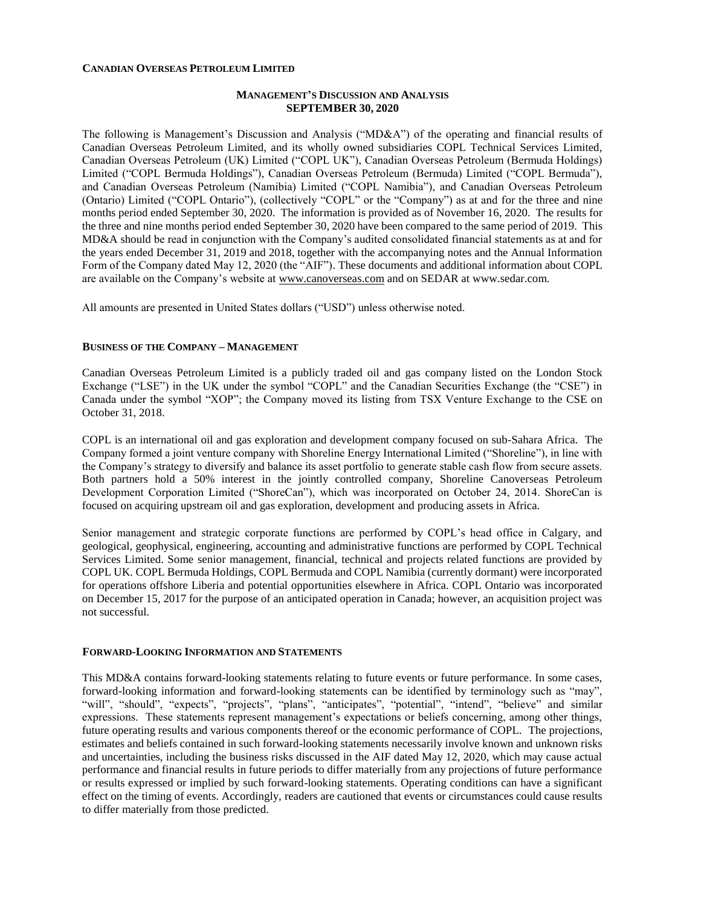#### **CANADIAN OVERSEAS PETROLEUM LIMITED**

#### **MANAGEMENT'S DISCUSSION AND ANALYSIS SEPTEMBER 30, 2020**

The following is Management's Discussion and Analysis ("MD&A") of the operating and financial results of Canadian Overseas Petroleum Limited, and its wholly owned subsidiaries COPL Technical Services Limited, Canadian Overseas Petroleum (UK) Limited ("COPL UK"), Canadian Overseas Petroleum (Bermuda Holdings) Limited ("COPL Bermuda Holdings"), Canadian Overseas Petroleum (Bermuda) Limited ("COPL Bermuda"), and Canadian Overseas Petroleum (Namibia) Limited ("COPL Namibia"), and Canadian Overseas Petroleum (Ontario) Limited ("COPL Ontario"), (collectively "COPL" or the "Company") as at and for the three and nine months period ended September 30, 2020. The information is provided as of November 16, 2020. The results for the three and nine months period ended September 30, 2020 have been compared to the same period of 2019. This MD&A should be read in conjunction with the Company's audited consolidated financial statements as at and for the years ended December 31, 2019 and 2018, together with the accompanying notes and the Annual Information Form of the Company dated May 12, 2020 (the "AIF"). These documents and additional information about COPL are available on the Company's website at www.canoverseas.com and on SEDAR at www.sedar.com.

All amounts are presented in United States dollars ("USD") unless otherwise noted.

#### **BUSINESS OF THE COMPANY – MANAGEMENT**

Canadian Overseas Petroleum Limited is a publicly traded oil and gas company listed on the London Stock Exchange ("LSE") in the UK under the symbol "COPL" and the Canadian Securities Exchange (the "CSE") in Canada under the symbol "XOP"; the Company moved its listing from TSX Venture Exchange to the CSE on October 31, 2018.

COPL is an international oil and gas exploration and development company focused on sub-Sahara Africa. The Company formed a joint venture company with Shoreline Energy International Limited ("Shoreline"), in line with the Company's strategy to diversify and balance its asset portfolio to generate stable cash flow from secure assets. Both partners hold a 50% interest in the jointly controlled company, Shoreline Canoverseas Petroleum Development Corporation Limited ("ShoreCan"), which was incorporated on October 24, 2014. ShoreCan is focused on acquiring upstream oil and gas exploration, development and producing assets in Africa.

Senior management and strategic corporate functions are performed by COPL's head office in Calgary, and geological, geophysical, engineering, accounting and administrative functions are performed by COPL Technical Services Limited. Some senior management, financial, technical and projects related functions are provided by COPL UK. COPL Bermuda Holdings, COPL Bermuda and COPL Namibia (currently dormant) were incorporated for operations offshore Liberia and potential opportunities elsewhere in Africa. COPL Ontario was incorporated on December 15, 2017 for the purpose of an anticipated operation in Canada; however, an acquisition project was not successful.

#### **FORWARD-LOOKING INFORMATION AND STATEMENTS**

This MD&A contains forward-looking statements relating to future events or future performance. In some cases, forward-looking information and forward-looking statements can be identified by terminology such as "may", "will", "should", "expects", "projects", "plans", "anticipates", "potential", "intend", "believe" and similar expressions. These statements represent management's expectations or beliefs concerning, among other things, future operating results and various components thereof or the economic performance of COPL. The projections, estimates and beliefs contained in such forward-looking statements necessarily involve known and unknown risks and uncertainties, including the business risks discussed in the AIF dated May 12, 2020, which may cause actual performance and financial results in future periods to differ materially from any projections of future performance or results expressed or implied by such forward-looking statements. Operating conditions can have a significant effect on the timing of events. Accordingly, readers are cautioned that events or circumstances could cause results to differ materially from those predicted.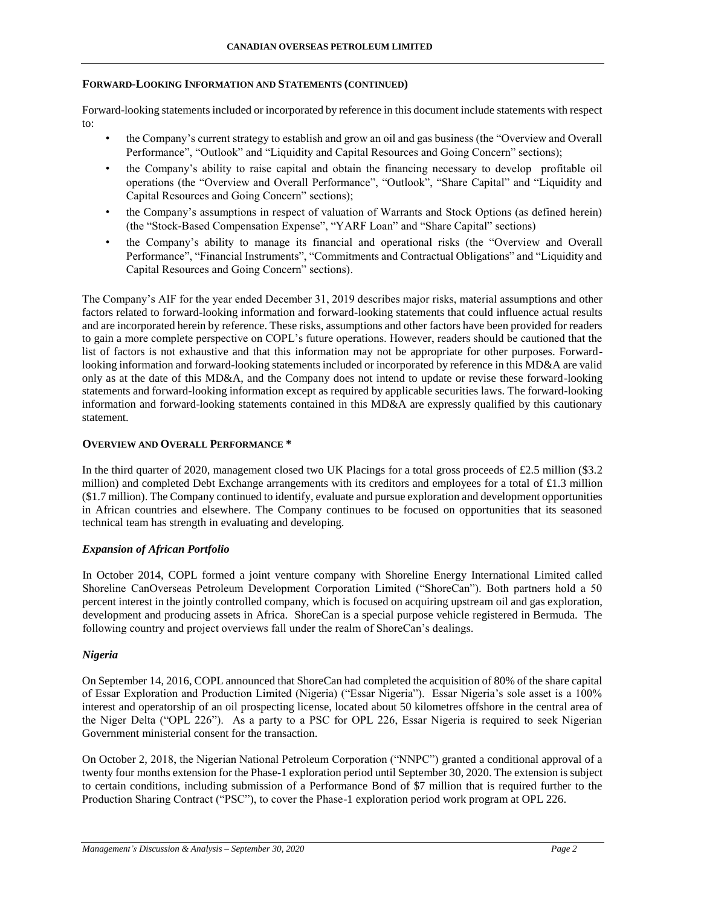#### **FORWARD-LOOKING INFORMATION AND STATEMENTS (CONTINUED)**

Forward-looking statements included or incorporated by reference in this document include statements with respect to:

- the Company's current strategy to establish and grow an oil and gas business (the "Overview and Overall Performance", "Outlook" and "Liquidity and Capital Resources and Going Concern" sections);
- the Company's ability to raise capital and obtain the financing necessary to develop profitable oil operations (the "Overview and Overall Performance", "Outlook", "Share Capital" and "Liquidity and Capital Resources and Going Concern" sections);
- the Company's assumptions in respect of valuation of Warrants and Stock Options (as defined herein) (the "Stock-Based Compensation Expense", "YARF Loan" and "Share Capital" sections)
- the Company's ability to manage its financial and operational risks (the "Overview and Overall Performance", "Financial Instruments", "Commitments and Contractual Obligations" and "Liquidity and Capital Resources and Going Concern" sections).

The Company's AIF for the year ended December 31, 2019 describes major risks, material assumptions and other factors related to forward-looking information and forward-looking statements that could influence actual results and are incorporated herein by reference. These risks, assumptions and other factors have been provided for readers to gain a more complete perspective on COPL's future operations. However, readers should be cautioned that the list of factors is not exhaustive and that this information may not be appropriate for other purposes. Forwardlooking information and forward-looking statements included or incorporated by reference in this MD&A are valid only as at the date of this MD&A, and the Company does not intend to update or revise these forward-looking statements and forward-looking information except as required by applicable securities laws. The forward-looking information and forward-looking statements contained in this MD&A are expressly qualified by this cautionary statement.

## **OVERVIEW AND OVERALL PERFORMANCE \***

In the third quarter of 2020, management closed two UK Placings for a total gross proceeds of £2.5 million (\$3.2 million) and completed Debt Exchange arrangements with its creditors and employees for a total of £1.3 million (\$1.7 million). The Company continued to identify, evaluate and pursue exploration and development opportunities in African countries and elsewhere. The Company continues to be focused on opportunities that its seasoned technical team has strength in evaluating and developing.

## *Expansion of African Portfolio*

In October 2014, COPL formed a joint venture company with Shoreline Energy International Limited called Shoreline CanOverseas Petroleum Development Corporation Limited ("ShoreCan"). Both partners hold a 50 percent interest in the jointly controlled company, which is focused on acquiring upstream oil and gas exploration, development and producing assets in Africa. ShoreCan is a special purpose vehicle registered in Bermuda. The following country and project overviews fall under the realm of ShoreCan's dealings.

## *Nigeria*

On September 14, 2016, COPL announced that ShoreCan had completed the acquisition of 80% of the share capital of Essar Exploration and Production Limited (Nigeria) ("Essar Nigeria"). Essar Nigeria's sole asset is a 100% interest and operatorship of an oil prospecting license, located about 50 kilometres offshore in the central area of the Niger Delta ("OPL 226"). As a party to a PSC for OPL 226, Essar Nigeria is required to seek Nigerian Government ministerial consent for the transaction.

On October 2, 2018, the Nigerian National Petroleum Corporation ("NNPC") granted a conditional approval of a twenty four months extension for the Phase-1 exploration period until September 30, 2020. The extension is subject to certain conditions, including submission of a Performance Bond of \$7 million that is required further to the Production Sharing Contract ("PSC"), to cover the Phase-1 exploration period work program at OPL 226.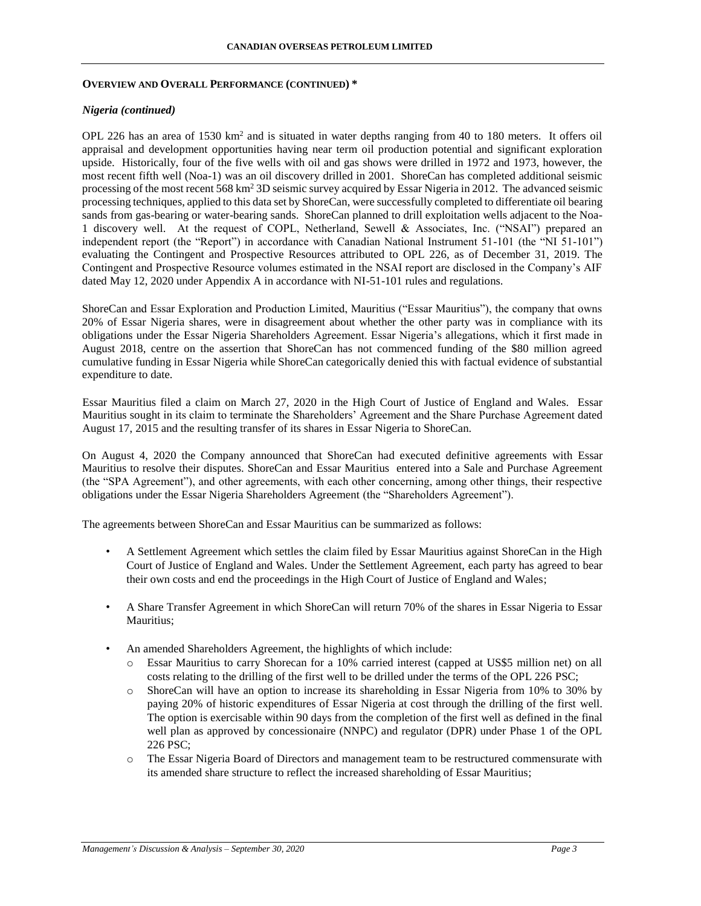#### **OVERVIEW AND OVERALL PERFORMANCE (CONTINUED) \***

## *Nigeria (continued)*

OPL 226 has an area of 1530 km<sup>2</sup> and is situated in water depths ranging from 40 to 180 meters. It offers oil appraisal and development opportunities having near term oil production potential and significant exploration upside. Historically, four of the five wells with oil and gas shows were drilled in 1972 and 1973, however, the most recent fifth well (Noa-1) was an oil discovery drilled in 2001. ShoreCan has completed additional seismic processing of the most recent 568 km<sup>2</sup> 3D seismic survey acquired by Essar Nigeria in 2012. The advanced seismic processing techniques, applied to this data set by ShoreCan, were successfully completed to differentiate oil bearing sands from gas-bearing or water-bearing sands. ShoreCan planned to drill exploitation wells adjacent to the Noa-1 discovery well. At the request of COPL, Netherland, Sewell & Associates, Inc. ("NSAI") prepared an independent report (the "Report") in accordance with Canadian National Instrument 51-101 (the "NI 51-101") evaluating the Contingent and Prospective Resources attributed to OPL 226, as of December 31, 2019. The Contingent and Prospective Resource volumes estimated in the NSAI report are disclosed in the Company's AIF dated May 12, 2020 under Appendix A in accordance with NI-51-101 rules and regulations.

ShoreCan and Essar Exploration and Production Limited, Mauritius ("Essar Mauritius"), the company that owns 20% of Essar Nigeria shares, were in disagreement about whether the other party was in compliance with its obligations under the Essar Nigeria Shareholders Agreement. Essar Nigeria's allegations, which it first made in August 2018, centre on the assertion that ShoreCan has not commenced funding of the \$80 million agreed cumulative funding in Essar Nigeria while ShoreCan categorically denied this with factual evidence of substantial expenditure to date.

Essar Mauritius filed a claim on March 27, 2020 in the High Court of Justice of England and Wales. Essar Mauritius sought in its claim to terminate the Shareholders' Agreement and the Share Purchase Agreement dated August 17, 2015 and the resulting transfer of its shares in Essar Nigeria to ShoreCan.

On August 4, 2020 the Company announced that ShoreCan had executed definitive agreements with Essar Mauritius to resolve their disputes. ShoreCan and Essar Mauritius entered into a Sale and Purchase Agreement (the "SPA Agreement"), and other agreements, with each other concerning, among other things, their respective obligations under the Essar Nigeria Shareholders Agreement (the "Shareholders Agreement").

The agreements between ShoreCan and Essar Mauritius can be summarized as follows:

- A Settlement Agreement which settles the claim filed by Essar Mauritius against ShoreCan in the High Court of Justice of England and Wales. Under the Settlement Agreement, each party has agreed to bear their own costs and end the proceedings in the High Court of Justice of England and Wales;
- A Share Transfer Agreement in which ShoreCan will return 70% of the shares in Essar Nigeria to Essar Mauritius;
- An amended Shareholders Agreement, the highlights of which include:
	- o Essar Mauritius to carry Shorecan for a 10% carried interest (capped at US\$5 million net) on all costs relating to the drilling of the first well to be drilled under the terms of the OPL 226 PSC;
	- o ShoreCan will have an option to increase its shareholding in Essar Nigeria from 10% to 30% by paying 20% of historic expenditures of Essar Nigeria at cost through the drilling of the first well. The option is exercisable within 90 days from the completion of the first well as defined in the final well plan as approved by concessionaire (NNPC) and regulator (DPR) under Phase 1 of the OPL 226 PSC;
	- o The Essar Nigeria Board of Directors and management team to be restructured commensurate with its amended share structure to reflect the increased shareholding of Essar Mauritius;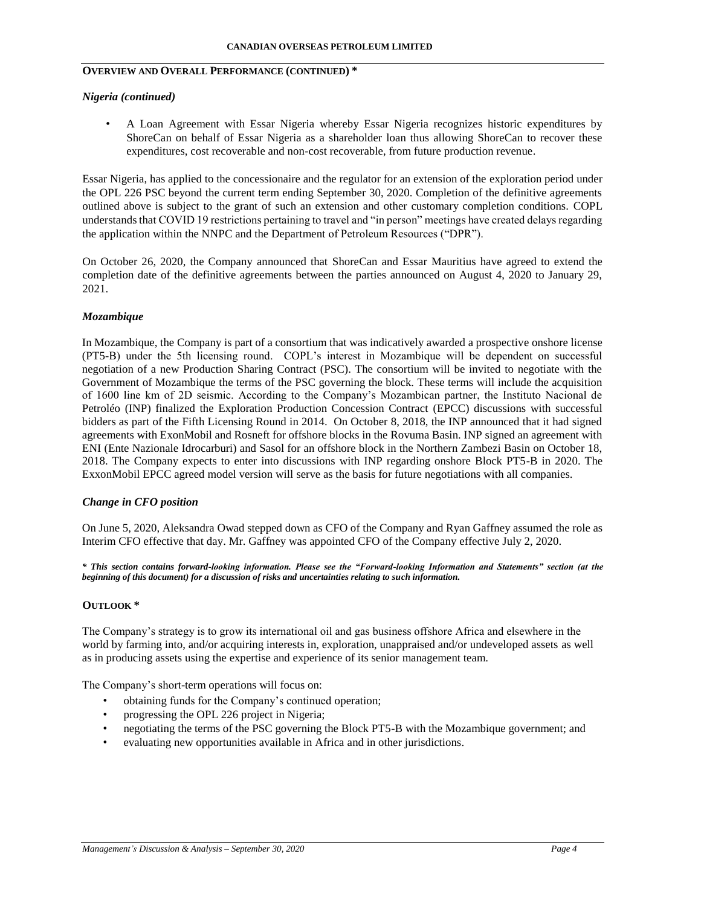## **OVERVIEW AND OVERALL PERFORMANCE (CONTINUED) \***

#### *Nigeria (continued)*

• A Loan Agreement with Essar Nigeria whereby Essar Nigeria recognizes historic expenditures by ShoreCan on behalf of Essar Nigeria as a shareholder loan thus allowing ShoreCan to recover these expenditures, cost recoverable and non-cost recoverable, from future production revenue.

Essar Nigeria, has applied to the concessionaire and the regulator for an extension of the exploration period under the OPL 226 PSC beyond the current term ending September 30, 2020. Completion of the definitive agreements outlined above is subject to the grant of such an extension and other customary completion conditions. COPL understands that COVID 19 restrictions pertaining to travel and "in person" meetings have created delays regarding the application within the NNPC and the Department of Petroleum Resources ("DPR").

On October 26, 2020, the Company announced that ShoreCan and Essar Mauritius have agreed to extend the completion date of the definitive agreements between the parties announced on August 4, 2020 to January 29, 2021.

#### *Mozambique*

In Mozambique, the Company is part of a consortium that was indicatively awarded a prospective onshore license (PT5-B) under the 5th licensing round. COPL's interest in Mozambique will be dependent on successful negotiation of a new Production Sharing Contract (PSC). The consortium will be invited to negotiate with the Government of Mozambique the terms of the PSC governing the block. These terms will include the acquisition of 1600 line km of 2D seismic. According to the Company's Mozambican partner, the Instituto Nacional de Petroléo (INP) finalized the Exploration Production Concession Contract (EPCC) discussions with successful bidders as part of the Fifth Licensing Round in 2014. On October 8, 2018, the INP announced that it had signed agreements with ExonMobil and Rosneft for offshore blocks in the Rovuma Basin. INP signed an agreement with ENI (Ente Nazionale Idrocarburi) and Sasol for an offshore block in the Northern Zambezi Basin on October 18, 2018. The Company expects to enter into discussions with INP regarding onshore Block PT5-B in 2020. The ExxonMobil EPCC agreed model version will serve as the basis for future negotiations with all companies.

#### *Change in CFO position*

On June 5, 2020, Aleksandra Owad stepped down as CFO of the Company and Ryan Gaffney assumed the role as Interim CFO effective that day. Mr. Gaffney was appointed CFO of the Company effective July 2, 2020.

*\* This section contains forward-looking information. Please see the "Forward-looking Information and Statements" section (at the beginning of this document) for a discussion of risks and uncertainties relating to such information.* 

#### **OUTLOOK \***

The Company's strategy is to grow its international oil and gas business offshore Africa and elsewhere in the world by farming into, and/or acquiring interests in, exploration, unappraised and/or undeveloped assets as well as in producing assets using the expertise and experience of its senior management team.

The Company's short-term operations will focus on:

- obtaining funds for the Company's continued operation;
- progressing the OPL 226 project in Nigeria;
- negotiating the terms of the PSC governing the Block PT5-B with the Mozambique government; and
- evaluating new opportunities available in Africa and in other jurisdictions.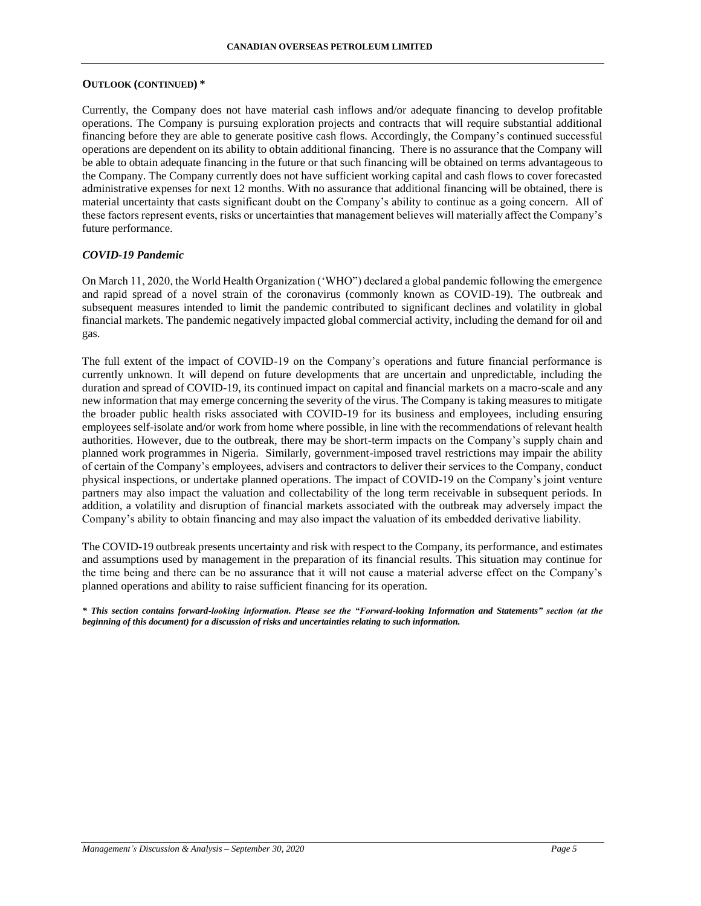#### **OUTLOOK (CONTINUED) \***

Currently, the Company does not have material cash inflows and/or adequate financing to develop profitable operations. The Company is pursuing exploration projects and contracts that will require substantial additional financing before they are able to generate positive cash flows. Accordingly, the Company's continued successful operations are dependent on its ability to obtain additional financing. There is no assurance that the Company will be able to obtain adequate financing in the future or that such financing will be obtained on terms advantageous to the Company. The Company currently does not have sufficient working capital and cash flows to cover forecasted administrative expenses for next 12 months. With no assurance that additional financing will be obtained, there is material uncertainty that casts significant doubt on the Company's ability to continue as a going concern. All of these factors represent events, risks or uncertainties that management believes will materially affect the Company's future performance.

#### *COVID-19 Pandemic*

On March 11, 2020, the World Health Organization ('WHO") declared a global pandemic following the emergence and rapid spread of a novel strain of the coronavirus (commonly known as COVID-19). The outbreak and subsequent measures intended to limit the pandemic contributed to significant declines and volatility in global financial markets. The pandemic negatively impacted global commercial activity, including the demand for oil and gas.

The full extent of the impact of COVID-19 on the Company's operations and future financial performance is currently unknown. It will depend on future developments that are uncertain and unpredictable, including the duration and spread of COVID-19, its continued impact on capital and financial markets on a macro-scale and any new information that may emerge concerning the severity of the virus. The Company is taking measures to mitigate the broader public health risks associated with COVID-19 for its business and employees, including ensuring employees self-isolate and/or work from home where possible, in line with the recommendations of relevant health authorities. However, due to the outbreak, there may be short-term impacts on the Company's supply chain and planned work programmes in Nigeria. Similarly, government-imposed travel restrictions may impair the ability of certain of the Company's employees, advisers and contractors to deliver their services to the Company, conduct physical inspections, or undertake planned operations. The impact of COVID-19 on the Company's joint venture partners may also impact the valuation and collectability of the long term receivable in subsequent periods. In addition, a volatility and disruption of financial markets associated with the outbreak may adversely impact the Company's ability to obtain financing and may also impact the valuation of its embedded derivative liability.

The COVID-19 outbreak presents uncertainty and risk with respect to the Company, its performance, and estimates and assumptions used by management in the preparation of its financial results. This situation may continue for the time being and there can be no assurance that it will not cause a material adverse effect on the Company's planned operations and ability to raise sufficient financing for its operation.

*\* This section contains forward-looking information. Please see the "Forward-looking Information and Statements" section (at the beginning of this document) for a discussion of risks and uncertainties relating to such information.*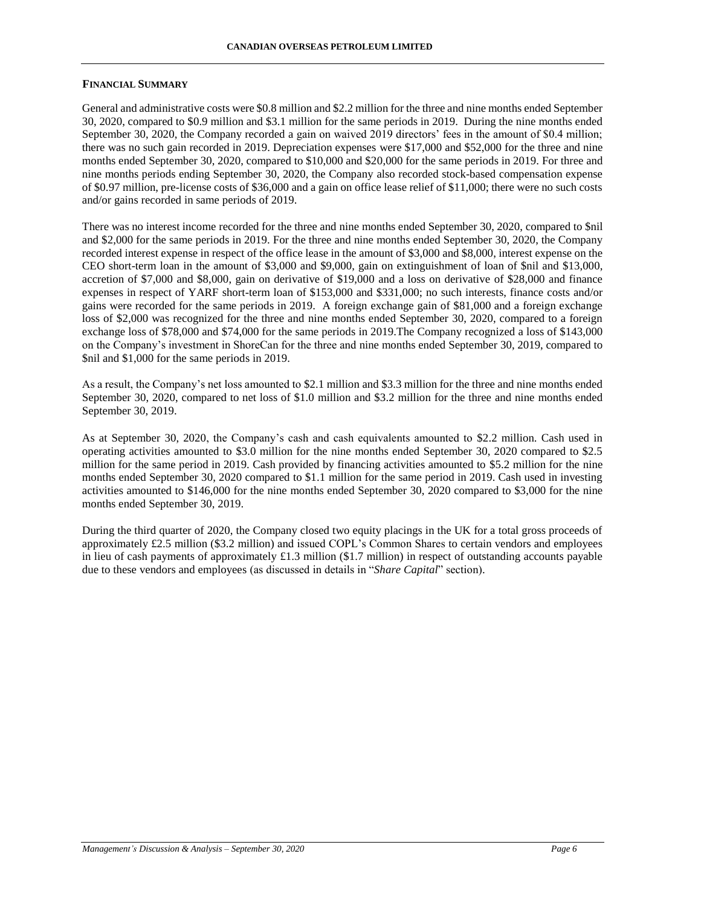#### **FINANCIAL SUMMARY**

General and administrative costs were \$0.8 million and \$2.2 million for the three and nine months ended September 30, 2020, compared to \$0.9 million and \$3.1 million for the same periods in 2019. During the nine months ended September 30, 2020, the Company recorded a gain on waived 2019 directors' fees in the amount of \$0.4 million; there was no such gain recorded in 2019. Depreciation expenses were \$17,000 and \$52,000 for the three and nine months ended September 30, 2020, compared to \$10,000 and \$20,000 for the same periods in 2019. For three and nine months periods ending September 30, 2020, the Company also recorded stock-based compensation expense of \$0.97 million, pre-license costs of \$36,000 and a gain on office lease relief of \$11,000; there were no such costs and/or gains recorded in same periods of 2019.

There was no interest income recorded for the three and nine months ended September 30, 2020, compared to \$nil and \$2,000 for the same periods in 2019. For the three and nine months ended September 30, 2020, the Company recorded interest expense in respect of the office lease in the amount of \$3,000 and \$8,000, interest expense on the CEO short-term loan in the amount of \$3,000 and \$9,000, gain on extinguishment of loan of \$nil and \$13,000, accretion of \$7,000 and \$8,000, gain on derivative of \$19,000 and a loss on derivative of \$28,000 and finance expenses in respect of YARF short-term loan of \$153,000 and \$331,000; no such interests, finance costs and/or gains were recorded for the same periods in 2019. A foreign exchange gain of \$81,000 and a foreign exchange loss of \$2,000 was recognized for the three and nine months ended September 30, 2020, compared to a foreign exchange loss of \$78,000 and \$74,000 for the same periods in 2019.The Company recognized a loss of \$143,000 on the Company's investment in ShoreCan for the three and nine months ended September 30, 2019, compared to \$nil and \$1,000 for the same periods in 2019.

As a result, the Company's net loss amounted to \$2.1 million and \$3.3 million for the three and nine months ended September 30, 2020, compared to net loss of \$1.0 million and \$3.2 million for the three and nine months ended September 30, 2019.

As at September 30, 2020, the Company's cash and cash equivalents amounted to \$2.2 million. Cash used in operating activities amounted to \$3.0 million for the nine months ended September 30, 2020 compared to \$2.5 million for the same period in 2019. Cash provided by financing activities amounted to \$5.2 million for the nine months ended September 30, 2020 compared to \$1.1 million for the same period in 2019. Cash used in investing activities amounted to \$146,000 for the nine months ended September 30, 2020 compared to \$3,000 for the nine months ended September 30, 2019.

During the third quarter of 2020, the Company closed two equity placings in the UK for a total gross proceeds of approximately £2.5 million (\$3.2 million) and issued COPL's Common Shares to certain vendors and employees in lieu of cash payments of approximately £1.3 million (\$1.7 million) in respect of outstanding accounts payable due to these vendors and employees (as discussed in details in "*Share Capital*" section).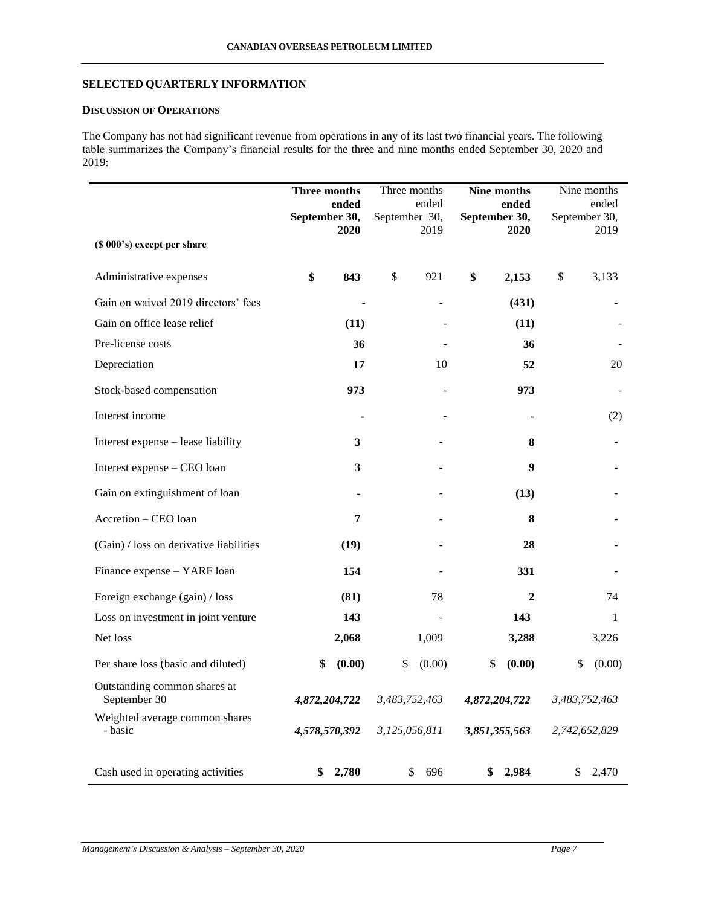# **SELECTED QUARTERLY INFORMATION**

# **DISCUSSION OF OPERATIONS**

The Company has not had significant revenue from operations in any of its last two financial years. The following table summarizes the Company's financial results for the three and nine months ended September 30, 2020 and 2019:

| (\$ 000's) except per share                  | Three months<br>ended<br>September 30,<br>2020 | September 30, | Three months<br>ended<br>2019 | Nine months<br>ended<br>September 30,<br>2020 | Nine months<br>ended<br>September 30,<br>2019 |
|----------------------------------------------|------------------------------------------------|---------------|-------------------------------|-----------------------------------------------|-----------------------------------------------|
| Administrative expenses                      | \$<br>843                                      | \$            | 921                           | \$<br>2,153                                   | \$<br>3,133                                   |
| Gain on waived 2019 directors' fees          |                                                |               |                               | (431)                                         |                                               |
| Gain on office lease relief                  | (11)                                           |               |                               | (11)                                          |                                               |
| Pre-license costs                            | 36                                             |               |                               | 36                                            |                                               |
| Depreciation                                 | 17                                             |               | 10                            | 52                                            | 20                                            |
| Stock-based compensation                     | 973                                            |               |                               | 973                                           |                                               |
| Interest income                              |                                                |               |                               |                                               | (2)                                           |
| Interest expense - lease liability           | $\mathbf{3}$                                   |               |                               | 8                                             |                                               |
| Interest expense – CEO loan                  | $\mathbf{3}$                                   |               |                               | $\boldsymbol{9}$                              |                                               |
| Gain on extinguishment of loan               | $\blacksquare$                                 |               |                               | (13)                                          |                                               |
| Accretion - CEO loan                         | 7                                              |               |                               | 8                                             |                                               |
| (Gain) / loss on derivative liabilities      | (19)                                           |               |                               | 28                                            |                                               |
| Finance expense - YARF loan                  | 154                                            |               |                               | 331                                           |                                               |
| Foreign exchange (gain) / loss               | (81)                                           |               | 78                            | $\boldsymbol{2}$                              | 74                                            |
| Loss on investment in joint venture          | 143                                            |               |                               | 143                                           | 1                                             |
| Net loss                                     | 2,068                                          |               | 1,009                         | 3,288                                         | 3,226                                         |
| Per share loss (basic and diluted)           | \$<br>(0.00)                                   | \$            | (0.00)                        | (0.00)<br>\$                                  | \$<br>(0.00)                                  |
| Outstanding common shares at<br>September 30 | 4,872,204,722                                  |               | 3,483,752,463                 | 4,872,204,722                                 | 3,483,752,463                                 |
| Weighted average common shares<br>- basic    | 4,578,570,392                                  |               | 3,125,056,811                 | 3,851,355,563                                 | 2,742,652,829                                 |
| Cash used in operating activities            | \$<br>2,780                                    |               | 696<br>\$                     | \$<br>2,984                                   | \$<br>2,470                                   |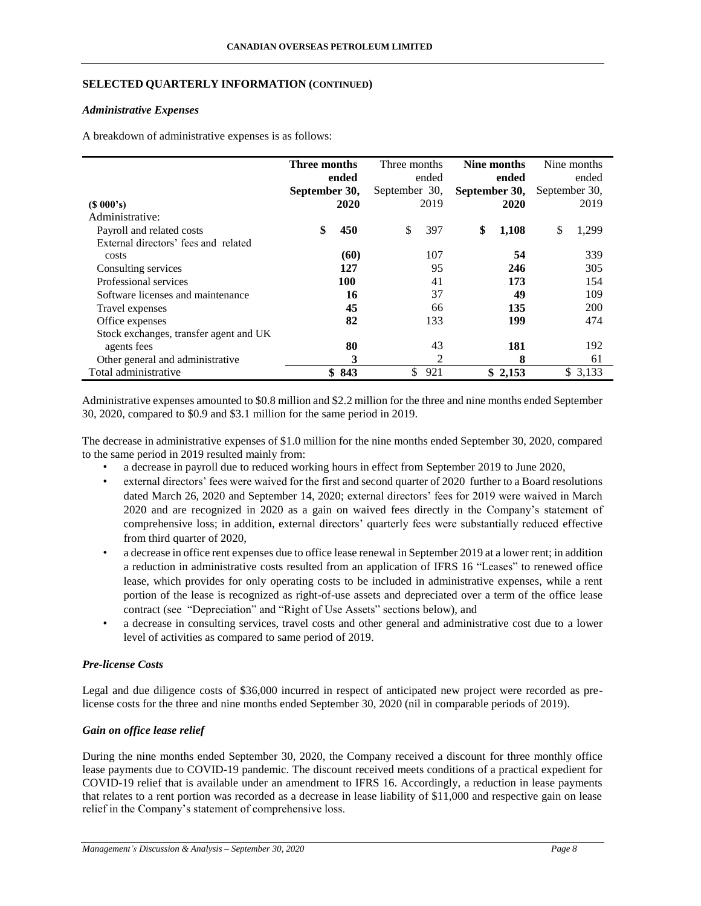## **SELECTED QUARTERLY INFORMATION (CONTINUED)**

#### *Administrative Expenses*

A breakdown of administrative expenses is as follows:

|                                        | Three months  |       | Three months  |       |               | Nine months |               | Nine months |
|----------------------------------------|---------------|-------|---------------|-------|---------------|-------------|---------------|-------------|
|                                        |               | ended |               | ended |               | ended       |               | ended       |
|                                        | September 30, |       | September 30, |       | September 30, |             | September 30, |             |
| $(S\ 000's)$                           |               | 2020  |               | 2019  |               | 2020        |               | 2019        |
| Administrative:                        |               |       |               |       |               |             |               |             |
| Payroll and related costs              | \$            | 450   | S             | 397   | \$            | 1,108       | \$            | 1,299       |
| External directors' fees and related   |               |       |               |       |               |             |               |             |
| costs                                  |               | (60)  |               | 107   |               | 54          |               | 339         |
| Consulting services                    |               | 127   |               | 95    |               | 246         |               | 305         |
| Professional services                  |               | 100   |               | 41    |               | 173         |               | 154         |
| Software licenses and maintenance      |               | 16    |               | 37    |               | 49          |               | 109         |
| Travel expenses                        |               | 45    |               | 66    |               | 135         |               | 200         |
| Office expenses                        |               | 82    |               | 133   |               | 199         |               | 474         |
| Stock exchanges, transfer agent and UK |               |       |               |       |               |             |               |             |
| agents fees                            |               | 80    |               | 43    |               | 181         |               | 192         |
| Other general and administrative       |               | 3     |               | 2     |               | 8           |               | 61          |
| Total administrative                   |               | \$843 | \$            | 921   |               | \$2,153     |               | \$3,133     |

Administrative expenses amounted to \$0.8 million and \$2.2 million for the three and nine months ended September 30, 2020, compared to \$0.9 and \$3.1 million for the same period in 2019.

The decrease in administrative expenses of \$1.0 million for the nine months ended September 30, 2020, compared to the same period in 2019 resulted mainly from:

- a decrease in payroll due to reduced working hours in effect from September 2019 to June 2020,
- external directors' fees were waived for the first and second quarter of 2020 further to a Board resolutions dated March 26, 2020 and September 14, 2020; external directors' fees for 2019 were waived in March 2020 and are recognized in 2020 as a gain on waived fees directly in the Company's statement of comprehensive loss; in addition, external directors' quarterly fees were substantially reduced effective from third quarter of 2020,
- a decrease in office rent expenses due to office lease renewal in September 2019 at a lower rent; in addition a reduction in administrative costs resulted from an application of IFRS 16 "Leases" to renewed office lease, which provides for only operating costs to be included in administrative expenses, while a rent portion of the lease is recognized as right-of-use assets and depreciated over a term of the office lease contract (see "Depreciation" and "Right of Use Assets" sections below), and
- a decrease in consulting services, travel costs and other general and administrative cost due to a lower level of activities as compared to same period of 2019.

## *Pre-license Costs*

Legal and due diligence costs of \$36,000 incurred in respect of anticipated new project were recorded as prelicense costs for the three and nine months ended September 30, 2020 (nil in comparable periods of 2019).

## *Gain on office lease relief*

During the nine months ended September 30, 2020, the Company received a discount for three monthly office lease payments due to COVID-19 pandemic. The discount received meets conditions of a practical expedient for COVID-19 relief that is available under an amendment to IFRS 16. Accordingly, a reduction in lease payments that relates to a rent portion was recorded as a decrease in lease liability of \$11,000 and respective gain on lease relief in the Company's statement of comprehensive loss.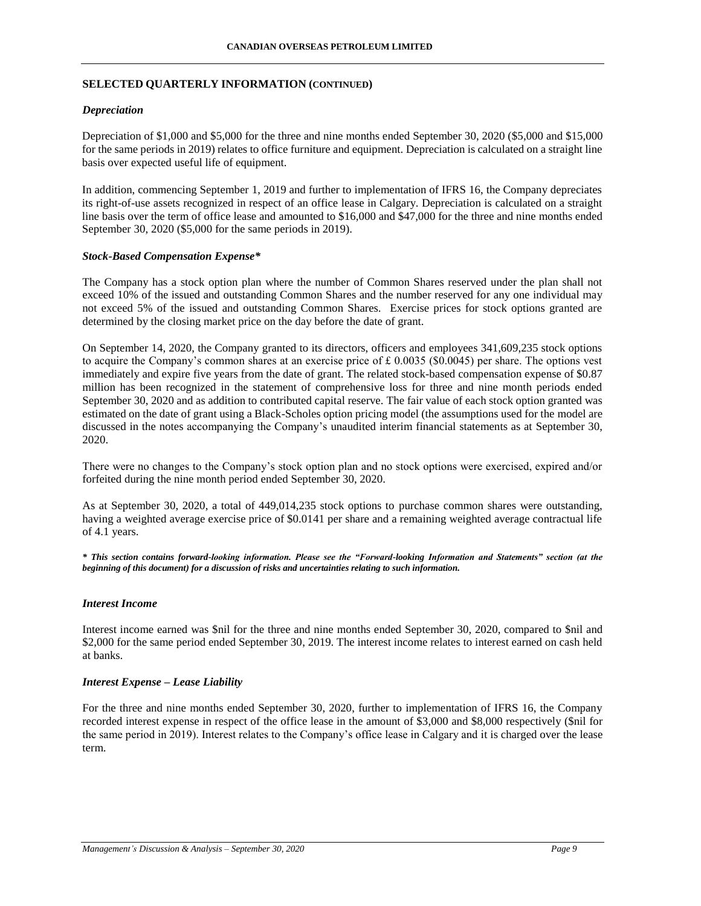## **SELECTED QUARTERLY INFORMATION (CONTINUED)**

### *Depreciation*

Depreciation of \$1,000 and \$5,000 for the three and nine months ended September 30, 2020 (\$5,000 and \$15,000 for the same periods in 2019) relates to office furniture and equipment. Depreciation is calculated on a straight line basis over expected useful life of equipment.

In addition, commencing September 1, 2019 and further to implementation of IFRS 16, the Company depreciates its right-of-use assets recognized in respect of an office lease in Calgary. Depreciation is calculated on a straight line basis over the term of office lease and amounted to \$16,000 and \$47,000 for the three and nine months ended September 30, 2020 (\$5,000 for the same periods in 2019).

### *Stock-Based Compensation Expense\**

The Company has a stock option plan where the number of Common Shares reserved under the plan shall not exceed 10% of the issued and outstanding Common Shares and the number reserved for any one individual may not exceed 5% of the issued and outstanding Common Shares. Exercise prices for stock options granted are determined by the closing market price on the day before the date of grant.

On September 14, 2020, the Company granted to its directors, officers and employees 341,609,235 stock options to acquire the Company's common shares at an exercise price of  $\pounds 0.0035$  (\$0.0045) per share. The options vest immediately and expire five years from the date of grant. The related stock-based compensation expense of \$0.87 million has been recognized in the statement of comprehensive loss for three and nine month periods ended September 30, 2020 and as addition to contributed capital reserve. The fair value of each stock option granted was estimated on the date of grant using a Black-Scholes option pricing model (the assumptions used for the model are discussed in the notes accompanying the Company's unaudited interim financial statements as at September 30, 2020.

There were no changes to the Company's stock option plan and no stock options were exercised, expired and/or forfeited during the nine month period ended September 30, 2020.

As at September 30, 2020, a total of 449,014,235 stock options to purchase common shares were outstanding, having a weighted average exercise price of \$0.0141 per share and a remaining weighted average contractual life of 4.1 years.

*\* This section contains forward-looking information. Please see the "Forward-looking Information and Statements" section (at the beginning of this document) for a discussion of risks and uncertainties relating to such information.*

#### *Interest Income*

Interest income earned was \$nil for the three and nine months ended September 30, 2020, compared to \$nil and \$2,000 for the same period ended September 30, 2019. The interest income relates to interest earned on cash held at banks.

#### *Interest Expense – Lease Liability*

For the three and nine months ended September 30, 2020, further to implementation of IFRS 16, the Company recorded interest expense in respect of the office lease in the amount of \$3,000 and \$8,000 respectively (\$nil for the same period in 2019). Interest relates to the Company's office lease in Calgary and it is charged over the lease term.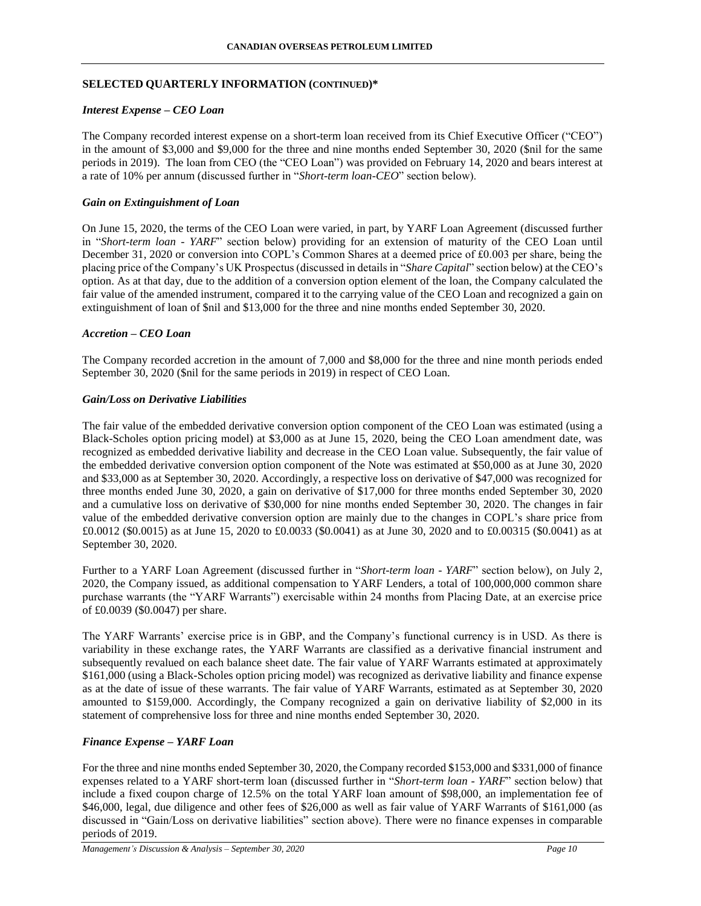## **SELECTED QUARTERLY INFORMATION (CONTINUED)\***

#### *Interest Expense – CEO Loan*

The Company recorded interest expense on a short-term loan received from its Chief Executive Officer ("CEO") in the amount of \$3,000 and \$9,000 for the three and nine months ended September 30, 2020 (\$nil for the same periods in 2019). The loan from CEO (the "CEO Loan") was provided on February 14, 2020 and bears interest at a rate of 10% per annum (discussed further in "*Short-term loan-CEO*" section below).

#### *Gain on Extinguishment of Loan*

On June 15, 2020, the terms of the CEO Loan were varied, in part, by YARF Loan Agreement (discussed further in "*Short-term loan - YARF*" section below) providing for an extension of maturity of the CEO Loan until December 31, 2020 or conversion into COPL's Common Shares at a deemed price of £0.003 per share, being the placing price of the Company's UK Prospectus (discussed in details in "*Share Capital*" section below) at the CEO's option. As at that day, due to the addition of a conversion option element of the loan, the Company calculated the fair value of the amended instrument, compared it to the carrying value of the CEO Loan and recognized a gain on extinguishment of loan of \$nil and \$13,000 for the three and nine months ended September 30, 2020.

### *Accretion – CEO Loan*

The Company recorded accretion in the amount of 7,000 and \$8,000 for the three and nine month periods ended September 30, 2020 (\$nil for the same periods in 2019) in respect of CEO Loan.

### *Gain/Loss on Derivative Liabilities*

The fair value of the embedded derivative conversion option component of the CEO Loan was estimated (using a Black-Scholes option pricing model) at \$3,000 as at June 15, 2020, being the CEO Loan amendment date, was recognized as embedded derivative liability and decrease in the CEO Loan value. Subsequently, the fair value of the embedded derivative conversion option component of the Note was estimated at \$50,000 as at June 30, 2020 and \$33,000 as at September 30, 2020. Accordingly, a respective loss on derivative of \$47,000 was recognized for three months ended June 30, 2020, a gain on derivative of \$17,000 for three months ended September 30, 2020 and a cumulative loss on derivative of \$30,000 for nine months ended September 30, 2020. The changes in fair value of the embedded derivative conversion option are mainly due to the changes in COPL's share price from £0.0012 (\$0.0015) as at June 15, 2020 to £0.0033 (\$0.0041) as at June 30, 2020 and to £0.00315 (\$0.0041) as at September 30, 2020.

Further to a YARF Loan Agreement (discussed further in "*Short-term loan - YARF*" section below), on July 2, 2020, the Company issued, as additional compensation to YARF Lenders, a total of 100,000,000 common share purchase warrants (the "YARF Warrants") exercisable within 24 months from Placing Date, at an exercise price of £0.0039 (\$0.0047) per share.

The YARF Warrants' exercise price is in GBP, and the Company's functional currency is in USD. As there is variability in these exchange rates, the YARF Warrants are classified as a derivative financial instrument and subsequently revalued on each balance sheet date. The fair value of YARF Warrants estimated at approximately \$161,000 (using a Black-Scholes option pricing model) was recognized as derivative liability and finance expense as at the date of issue of these warrants. The fair value of YARF Warrants, estimated as at September 30, 2020 amounted to \$159,000. Accordingly, the Company recognized a gain on derivative liability of \$2,000 in its statement of comprehensive loss for three and nine months ended September 30, 2020.

#### *Finance Expense – YARF Loan*

For the three and nine months ended September 30, 2020, the Company recorded \$153,000 and \$331,000 of finance expenses related to a YARF short-term loan (discussed further in "*Short-term loan - YARF*" section below) that include a fixed coupon charge of 12.5% on the total YARF loan amount of \$98,000, an implementation fee of \$46,000, legal, due diligence and other fees of \$26,000 as well as fair value of YARF Warrants of \$161,000 (as discussed in "Gain/Loss on derivative liabilities" section above). There were no finance expenses in comparable periods of 2019.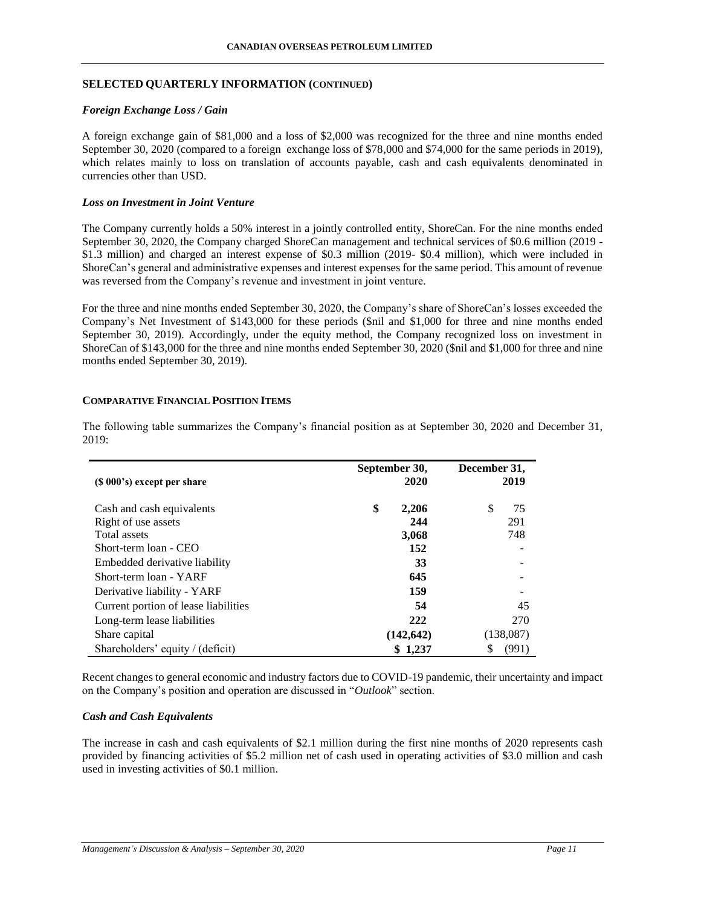## **SELECTED QUARTERLY INFORMATION (CONTINUED)**

#### *Foreign Exchange Loss / Gain*

A foreign exchange gain of \$81,000 and a loss of \$2,000 was recognized for the three and nine months ended September 30, 2020 (compared to a foreign exchange loss of \$78,000 and \$74,000 for the same periods in 2019), which relates mainly to loss on translation of accounts payable, cash and cash equivalents denominated in currencies other than USD.

#### *Loss on Investment in Joint Venture*

The Company currently holds a 50% interest in a jointly controlled entity, ShoreCan. For the nine months ended September 30, 2020, the Company charged ShoreCan management and technical services of \$0.6 million (2019 - \$1.3 million) and charged an interest expense of \$0.3 million (2019- \$0.4 million), which were included in ShoreCan's general and administrative expenses and interest expenses for the same period. This amount of revenue was reversed from the Company's revenue and investment in joint venture.

For the three and nine months ended September 30, 2020, the Company's share of ShoreCan's losses exceeded the Company's Net Investment of \$143,000 for these periods (\$nil and \$1,000 for three and nine months ended September 30, 2019). Accordingly, under the equity method, the Company recognized loss on investment in ShoreCan of \$143,000 for the three and nine months ended September 30, 2020 (\$nil and \$1,000 for three and nine months ended September 30, 2019).

#### **COMPARATIVE FINANCIAL POSITION ITEMS**

| $(S 000's)$ except per share         | September 30,<br>2020 | December 31,<br>2019 |
|--------------------------------------|-----------------------|----------------------|
| Cash and cash equivalents            | \$<br>2,206           | \$<br>75             |
| Right of use assets                  | 244                   | 291                  |
| Total assets                         | 3,068                 | 748                  |
| Short-term loan - CEO                | 152                   |                      |
| Embedded derivative liability        | 33                    |                      |
| Short-term loan - YARF               | 645                   |                      |
| Derivative liability - YARF          | 159                   |                      |
| Current portion of lease liabilities | 54                    | 45                   |
| Long-term lease liabilities          | 222                   | 270                  |
| Share capital                        | (142, 642)            | (138,087)            |
| Shareholders' equity / (deficit)     | \$1,237               | (991)                |

The following table summarizes the Company's financial position as at September 30, 2020 and December 31, 2019:

Recent changes to general economic and industry factors due to COVID-19 pandemic, their uncertainty and impact on the Company's position and operation are discussed in "*Outlook*" section.

# *Cash and Cash Equivalents*

The increase in cash and cash equivalents of \$2.1 million during the first nine months of 2020 represents cash provided by financing activities of \$5.2 million net of cash used in operating activities of \$3.0 million and cash used in investing activities of \$0.1 million.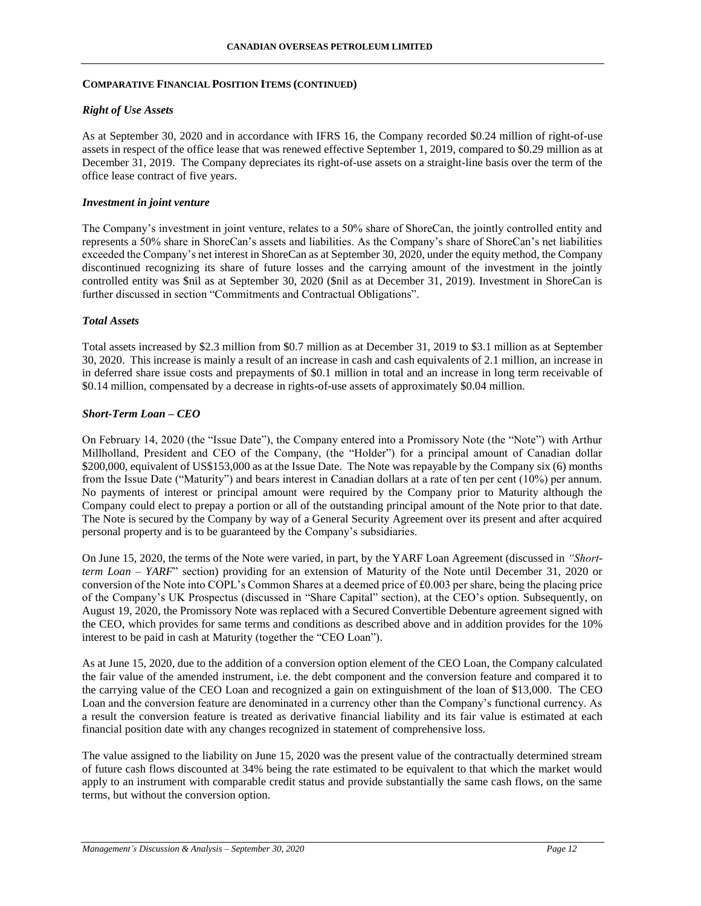#### *Right of Use Assets*

As at September 30, 2020 and in accordance with IFRS 16, the Company recorded \$0.24 million of right-of-use assets in respect of the office lease that was renewed effective September 1, 2019, compared to \$0.29 million as at December 31, 2019. The Company depreciates its right-of-use assets on a straight-line basis over the term of the office lease contract of five years.

#### *Investment in joint venture*

The Company's investment in joint venture, relates to a 50% share of ShoreCan, the jointly controlled entity and represents a 50% share in ShoreCan's assets and liabilities. As the Company's share of ShoreCan's net liabilities exceeded the Company's net interest in ShoreCan as at September 30, 2020, under the equity method, the Company discontinued recognizing its share of future losses and the carrying amount of the investment in the jointly controlled entity was \$nil as at September 30, 2020 (\$nil as at December 31, 2019). Investment in ShoreCan is further discussed in section "Commitments and Contractual Obligations".

#### *Total Assets*

Total assets increased by \$2.3 million from \$0.7 million as at December 31, 2019 to \$3.1 million as at September 30, 2020. This increase is mainly a result of an increase in cash and cash equivalents of 2.1 million, an increase in in deferred share issue costs and prepayments of \$0.1 million in total and an increase in long term receivable of \$0.14 million, compensated by a decrease in rights-of-use assets of approximately \$0.04 million.

#### *Short-Term Loan – CEO*

On February 14, 2020 (the "Issue Date"), the Company entered into a Promissory Note (the "Note") with Arthur Millholland, President and CEO of the Company, (the "Holder") for a principal amount of Canadian dollar \$200,000, equivalent of US\$153,000 as at the Issue Date. The Note was repayable by the Company six (6) months from the Issue Date ("Maturity") and bears interest in Canadian dollars at a rate of ten per cent (10%) per annum. No payments of interest or principal amount were required by the Company prior to Maturity although the Company could elect to prepay a portion or all of the outstanding principal amount of the Note prior to that date. The Note is secured by the Company by way of a General Security Agreement over its present and after acquired personal property and is to be guaranteed by the Company's subsidiaries.

On June 15, 2020, the terms of the Note were varied, in part, by the YARF Loan Agreement (discussed in *"Shortterm Loan – YARF*" section) providing for an extension of Maturity of the Note until December 31, 2020 or conversion of the Note into COPL's Common Shares at a deemed price of £0.003 per share, being the placing price of the Company's UK Prospectus (discussed in "Share Capital" section), at the CEO's option. Subsequently, on August 19, 2020, the Promissory Note was replaced with a Secured Convertible Debenture agreement signed with the CEO, which provides for same terms and conditions as described above and in addition provides for the 10% interest to be paid in cash at Maturity (together the "CEO Loan").

As at June 15, 2020, due to the addition of a conversion option element of the CEO Loan, the Company calculated the fair value of the amended instrument, i.e. the debt component and the conversion feature and compared it to the carrying value of the CEO Loan and recognized a gain on extinguishment of the loan of \$13,000. The CEO Loan and the conversion feature are denominated in a currency other than the Company's functional currency. As a result the conversion feature is treated as derivative financial liability and its fair value is estimated at each financial position date with any changes recognized in statement of comprehensive loss.

The value assigned to the liability on June 15, 2020 was the present value of the contractually determined stream of future cash flows discounted at 34% being the rate estimated to be equivalent to that which the market would apply to an instrument with comparable credit status and provide substantially the same cash flows, on the same terms, but without the conversion option.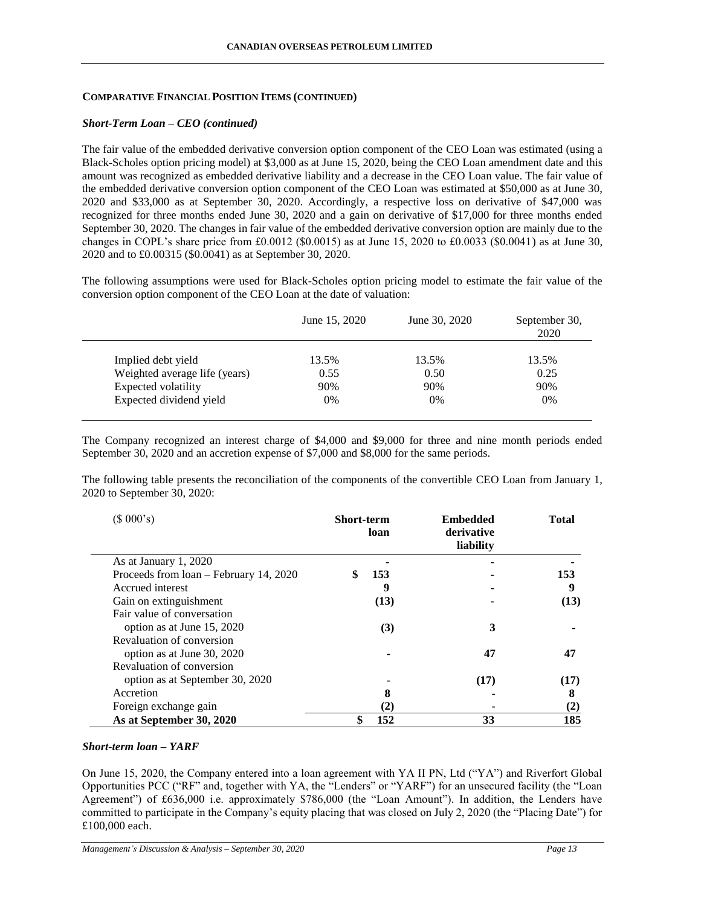#### *Short-Term Loan – CEO (continued)*

The fair value of the embedded derivative conversion option component of the CEO Loan was estimated (using a Black-Scholes option pricing model) at \$3,000 as at June 15, 2020, being the CEO Loan amendment date and this amount was recognized as embedded derivative liability and a decrease in the CEO Loan value. The fair value of the embedded derivative conversion option component of the CEO Loan was estimated at \$50,000 as at June 30, 2020 and \$33,000 as at September 30, 2020. Accordingly, a respective loss on derivative of \$47,000 was recognized for three months ended June 30, 2020 and a gain on derivative of \$17,000 for three months ended September 30, 2020. The changes in fair value of the embedded derivative conversion option are mainly due to the changes in COPL's share price from £0.0012 (\$0.0015) as at June 15, 2020 to £0.0033 (\$0.0041) as at June 30, 2020 and to £0.00315 (\$0.0041) as at September 30, 2020.

The following assumptions were used for Black-Scholes option pricing model to estimate the fair value of the conversion option component of the CEO Loan at the date of valuation:

|                               | June 15, 2020 | June 30, 2020 | September 30,<br>2020 |
|-------------------------------|---------------|---------------|-----------------------|
| Implied debt yield            | 13.5%         | 13.5%         | 13.5%                 |
| Weighted average life (years) | 0.55          | 0.50          | 0.25                  |
| Expected volatility           | 90%           | 90%           | 90%                   |
| Expected dividend yield       | 0%            | 0%            | 0%                    |

The Company recognized an interest charge of \$4,000 and \$9,000 for three and nine month periods ended September 30, 2020 and an accretion expense of \$7,000 and \$8,000 for the same periods.

The following table presents the reconciliation of the components of the convertible CEO Loan from January 1, 2020 to September 30, 2020:

| (\$000's)                              | <b>Short-term</b> | loan     | <b>Embedded</b><br>derivative<br>liability | <b>Total</b> |  |
|----------------------------------------|-------------------|----------|--------------------------------------------|--------------|--|
| As at January 1, 2020                  |                   |          |                                            |              |  |
| Proceeds from loan – February 14, 2020 |                   | 153      |                                            | 153          |  |
| Accrued interest                       |                   | 9        |                                            | 9            |  |
| Gain on extinguishment                 |                   | (13)     |                                            | (13)         |  |
| Fair value of conversation             |                   |          |                                            |              |  |
| option as at June 15, 2020             |                   | (3)      | 3                                          |              |  |
| Revaluation of conversion              |                   |          |                                            |              |  |
| option as at June 30, 2020             |                   |          | 47                                         | 47           |  |
| Revaluation of conversion              |                   |          |                                            |              |  |
| option as at September 30, 2020        |                   |          | (17)                                       | (17)         |  |
| Accretion                              |                   | 8        |                                            | 8            |  |
| Foreign exchange gain                  |                   | $\bf(2)$ |                                            | $\bf(2)$     |  |
| As at September 30, 2020               |                   | 152      | 33                                         | 185          |  |

#### *Short-term loan – YARF*

On June 15, 2020, the Company entered into a loan agreement with YA II PN, Ltd ("YA") and Riverfort Global Opportunities PCC ("RF" and, together with YA, the "Lenders" or "YARF") for an unsecured facility (the "Loan Agreement") of £636,000 i.e. approximately \$786,000 (the "Loan Amount"). In addition, the Lenders have committed to participate in the Company's equity placing that was closed on July 2, 2020 (the "Placing Date") for £100,000 each.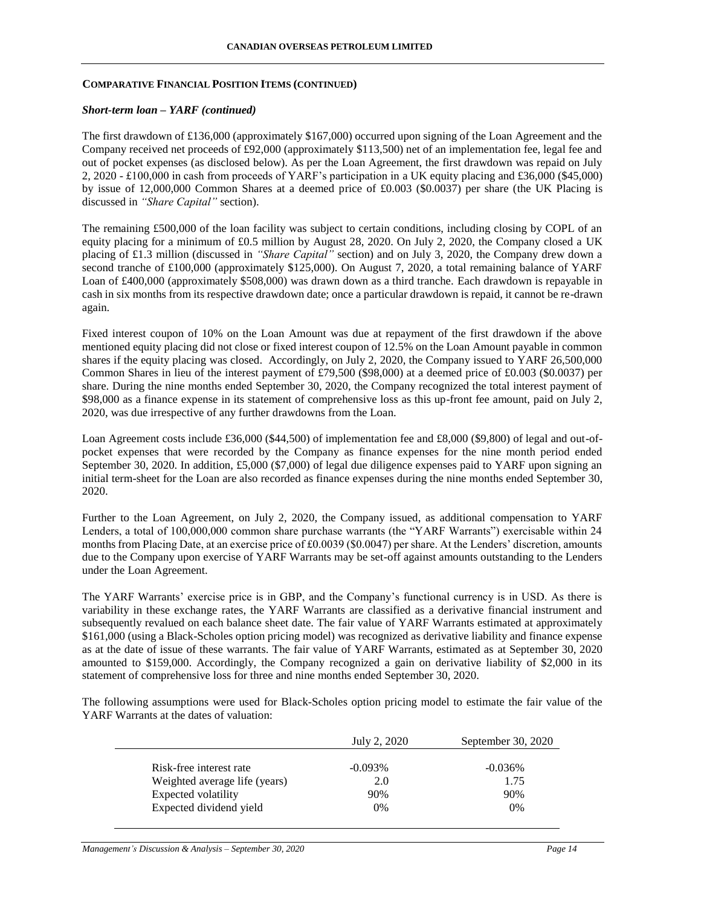### *Short-term loan – YARF (continued)*

The first drawdown of £136,000 (approximately \$167,000) occurred upon signing of the Loan Agreement and the Company received net proceeds of £92,000 (approximately \$113,500) net of an implementation fee, legal fee and out of pocket expenses (as disclosed below). As per the Loan Agreement, the first drawdown was repaid on July 2, 2020 - £100,000 in cash from proceeds of YARF's participation in a UK equity placing and £36,000 (\$45,000) by issue of 12,000,000 Common Shares at a deemed price of £0.003 (\$0.0037) per share (the UK Placing is discussed in *"Share Capital"* section).

The remaining £500,000 of the loan facility was subject to certain conditions, including closing by COPL of an equity placing for a minimum of £0.5 million by August 28, 2020. On July 2, 2020, the Company closed a UK placing of £1.3 million (discussed in *"Share Capital"* section) and on July 3, 2020, the Company drew down a second tranche of £100,000 (approximately \$125,000). On August 7, 2020, a total remaining balance of YARF Loan of £400,000 (approximately \$508,000) was drawn down as a third tranche. Each drawdown is repayable in cash in six months from its respective drawdown date; once a particular drawdown is repaid, it cannot be re-drawn again.

Fixed interest coupon of 10% on the Loan Amount was due at repayment of the first drawdown if the above mentioned equity placing did not close or fixed interest coupon of 12.5% on the Loan Amount payable in common shares if the equity placing was closed. Accordingly, on July 2, 2020, the Company issued to YARF 26,500,000 Common Shares in lieu of the interest payment of £79,500 (\$98,000) at a deemed price of £0.003 (\$0.0037) per share. During the nine months ended September 30, 2020, the Company recognized the total interest payment of \$98,000 as a finance expense in its statement of comprehensive loss as this up-front fee amount, paid on July 2, 2020, was due irrespective of any further drawdowns from the Loan.

Loan Agreement costs include £36,000 (\$44,500) of implementation fee and £8,000 (\$9,800) of legal and out-ofpocket expenses that were recorded by the Company as finance expenses for the nine month period ended September 30, 2020. In addition, £5,000 (\$7,000) of legal due diligence expenses paid to YARF upon signing an initial term-sheet for the Loan are also recorded as finance expenses during the nine months ended September 30, 2020.

Further to the Loan Agreement, on July 2, 2020, the Company issued, as additional compensation to YARF Lenders, a total of 100,000,000 common share purchase warrants (the "YARF Warrants") exercisable within 24 months from Placing Date, at an exercise price of £0.0039 (\$0.0047) per share. At the Lenders' discretion, amounts due to the Company upon exercise of YARF Warrants may be set-off against amounts outstanding to the Lenders under the Loan Agreement.

The YARF Warrants' exercise price is in GBP, and the Company's functional currency is in USD. As there is variability in these exchange rates, the YARF Warrants are classified as a derivative financial instrument and subsequently revalued on each balance sheet date. The fair value of YARF Warrants estimated at approximately \$161,000 (using a Black-Scholes option pricing model) was recognized as derivative liability and finance expense as at the date of issue of these warrants. The fair value of YARF Warrants, estimated as at September 30, 2020 amounted to \$159,000. Accordingly, the Company recognized a gain on derivative liability of \$2,000 in its statement of comprehensive loss for three and nine months ended September 30, 2020.

The following assumptions were used for Black-Scholes option pricing model to estimate the fair value of the YARF Warrants at the dates of valuation:

|                               | July 2, 2020 | September 30, 2020 |
|-------------------------------|--------------|--------------------|
| Risk-free interest rate       | $-0.093\%$   | $-0.036\%$         |
|                               |              |                    |
| Weighted average life (years) | 2.0          | 1.75               |
| Expected volatility           | 90%          | 90%                |
| Expected dividend yield       | $0\%$        | 0%                 |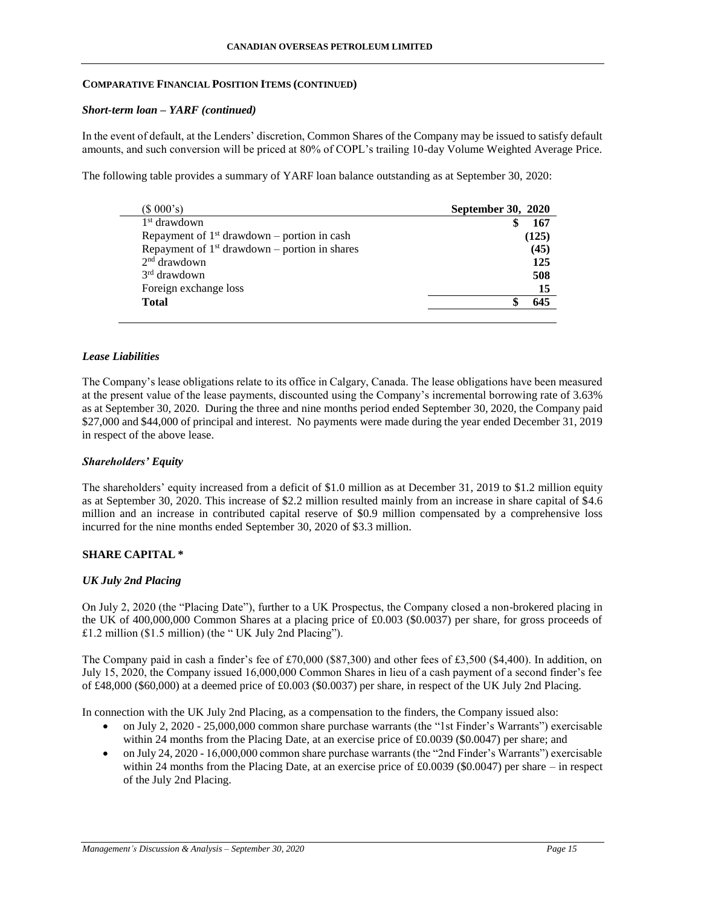#### *Short-term loan – YARF (continued)*

In the event of default, at the Lenders' discretion, Common Shares of the Company may be issued to satisfy default amounts, and such conversion will be priced at 80% of COPL's trailing 10-day Volume Weighted Average Price.

The following table provides a summary of YARF loan balance outstanding as at September 30, 2020:

| <b>September 30, 2020</b> |
|---------------------------|
| 167                       |
| (125)                     |
| (45)                      |
| 125                       |
| 508                       |
| 15                        |
| 645                       |
|                           |

### *Lease Liabilities*

The Company's lease obligations relate to its office in Calgary, Canada. The lease obligations have been measured at the present value of the lease payments, discounted using the Company's incremental borrowing rate of 3.63% as at September 30, 2020. During the three and nine months period ended September 30, 2020, the Company paid \$27,000 and \$44,000 of principal and interest. No payments were made during the year ended December 31, 2019 in respect of the above lease.

#### *Shareholders' Equity*

The shareholders' equity increased from a deficit of \$1.0 million as at December 31, 2019 to \$1.2 million equity as at September 30, 2020. This increase of \$2.2 million resulted mainly from an increase in share capital of \$4.6 million and an increase in contributed capital reserve of \$0.9 million compensated by a comprehensive loss incurred for the nine months ended September 30, 2020 of \$3.3 million.

## **SHARE CAPITAL \***

#### *UK July 2nd Placing*

On July 2, 2020 (the "Placing Date"), further to a UK Prospectus, the Company closed a non-brokered placing in the UK of 400,000,000 Common Shares at a placing price of £0.003 (\$0.0037) per share, for gross proceeds of £1.2 million (\$1.5 million) (the " UK July 2nd Placing").

The Company paid in cash a finder's fee of £70,000 (\$87,300) and other fees of £3,500 (\$4,400). In addition, on July 15, 2020, the Company issued 16,000,000 Common Shares in lieu of a cash payment of a second finder's fee of £48,000 (\$60,000) at a deemed price of £0.003 (\$0.0037) per share, in respect of the UK July 2nd Placing.

In connection with the UK July 2nd Placing, as a compensation to the finders, the Company issued also:

- on July 2, 2020 25,000,000 common share purchase warrants (the "1st Finder's Warrants") exercisable within 24 months from the Placing Date, at an exercise price of £0.0039 (\$0.0047) per share; and
- on July 24, 2020 16,000,000 common share purchase warrants (the "2nd Finder's Warrants") exercisable within 24 months from the Placing Date, at an exercise price of £0.0039 (\$0.0047) per share – in respect of the July 2nd Placing.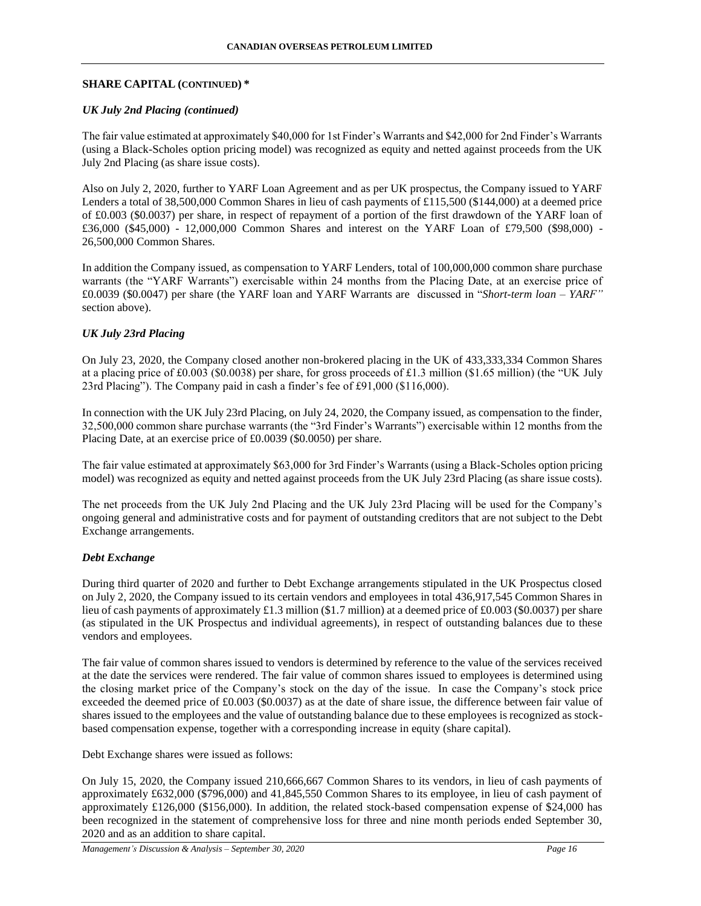### **SHARE CAPITAL (CONTINUED) \***

### *UK July 2nd Placing (continued)*

The fair value estimated at approximately \$40,000 for 1st Finder's Warrants and \$42,000 for 2nd Finder's Warrants (using a Black-Scholes option pricing model) was recognized as equity and netted against proceeds from the UK July 2nd Placing (as share issue costs).

Also on July 2, 2020, further to YARF Loan Agreement and as per UK prospectus, the Company issued to YARF Lenders a total of 38,500,000 Common Shares in lieu of cash payments of £115,500 (\$144,000) at a deemed price of £0.003 (\$0.0037) per share, in respect of repayment of a portion of the first drawdown of the YARF loan of £36,000 (\$45,000) - 12,000,000 Common Shares and interest on the YARF Loan of £79,500 (\$98,000) - 26,500,000 Common Shares.

In addition the Company issued, as compensation to YARF Lenders, total of 100,000,000 common share purchase warrants (the "YARF Warrants") exercisable within 24 months from the Placing Date, at an exercise price of £0.0039 (\$0.0047) per share (the YARF loan and YARF Warrants are discussed in "*Short-term loan – YARF"* section above).

## *UK July 23rd Placing*

On July 23, 2020, the Company closed another non-brokered placing in the UK of 433,333,334 Common Shares at a placing price of £0.003 (\$0.0038) per share, for gross proceeds of £1.3 million (\$1.65 million) (the "UK July 23rd Placing"). The Company paid in cash a finder's fee of £91,000 (\$116,000).

In connection with the UK July 23rd Placing, on July 24, 2020, the Company issued, as compensation to the finder, 32,500,000 common share purchase warrants (the "3rd Finder's Warrants") exercisable within 12 months from the Placing Date, at an exercise price of £0.0039 (\$0.0050) per share.

The fair value estimated at approximately \$63,000 for 3rd Finder's Warrants (using a Black-Scholes option pricing model) was recognized as equity and netted against proceeds from the UK July 23rd Placing (as share issue costs).

The net proceeds from the UK July 2nd Placing and the UK July 23rd Placing will be used for the Company's ongoing general and administrative costs and for payment of outstanding creditors that are not subject to the Debt Exchange arrangements.

#### *Debt Exchange*

During third quarter of 2020 and further to Debt Exchange arrangements stipulated in the UK Prospectus closed on July 2, 2020, the Company issued to its certain vendors and employees in total 436,917,545 Common Shares in lieu of cash payments of approximately £1.3 million (\$1.7 million) at a deemed price of £0.003 (\$0.0037) per share (as stipulated in the UK Prospectus and individual agreements), in respect of outstanding balances due to these vendors and employees.

The fair value of common shares issued to vendors is determined by reference to the value of the services received at the date the services were rendered. The fair value of common shares issued to employees is determined using the closing market price of the Company's stock on the day of the issue. In case the Company's stock price exceeded the deemed price of £0.003 (\$0.0037) as at the date of share issue, the difference between fair value of shares issued to the employees and the value of outstanding balance due to these employees is recognized as stockbased compensation expense, together with a corresponding increase in equity (share capital).

Debt Exchange shares were issued as follows:

On July 15, 2020, the Company issued 210,666,667 Common Shares to its vendors, in lieu of cash payments of approximately £632,000 (\$796,000) and 41,845,550 Common Shares to its employee, in lieu of cash payment of approximately £126,000 (\$156,000). In addition, the related stock-based compensation expense of \$24,000 has been recognized in the statement of comprehensive loss for three and nine month periods ended September 30, 2020 and as an addition to share capital.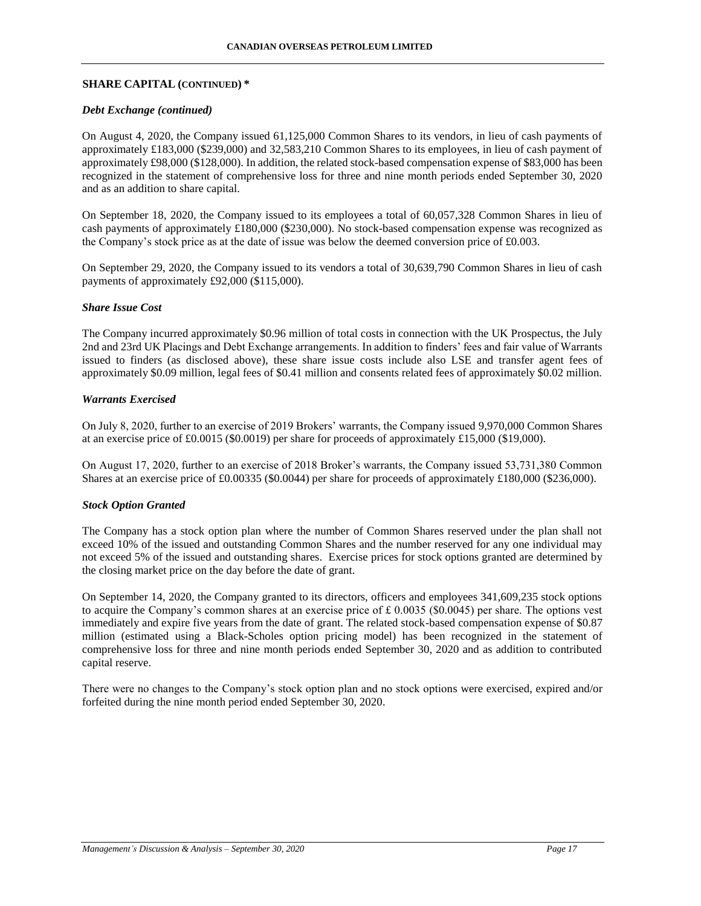### **SHARE CAPITAL (CONTINUED) \***

#### *Debt Exchange (continued)*

On August 4, 2020, the Company issued 61,125,000 Common Shares to its vendors, in lieu of cash payments of approximately £183,000 (\$239,000) and 32,583,210 Common Shares to its employees, in lieu of cash payment of approximately £98,000 (\$128,000). In addition, the related stock-based compensation expense of \$83,000 has been recognized in the statement of comprehensive loss for three and nine month periods ended September 30, 2020 and as an addition to share capital.

On September 18, 2020, the Company issued to its employees a total of 60,057,328 Common Shares in lieu of cash payments of approximately £180,000 (\$230,000). No stock-based compensation expense was recognized as the Company's stock price as at the date of issue was below the deemed conversion price of £0.003.

On September 29, 2020, the Company issued to its vendors a total of 30,639,790 Common Shares in lieu of cash payments of approximately £92,000 (\$115,000).

#### *Share Issue Cost*

The Company incurred approximately \$0.96 million of total costs in connection with the UK Prospectus, the July 2nd and 23rd UK Placings and Debt Exchange arrangements. In addition to finders' fees and fair value of Warrants issued to finders (as disclosed above), these share issue costs include also LSE and transfer agent fees of approximately \$0.09 million, legal fees of \$0.41 million and consents related fees of approximately \$0.02 million.

# *Warrants Exercised*

On July 8, 2020, further to an exercise of 2019 Brokers' warrants, the Company issued 9,970,000 Common Shares at an exercise price of £0.0015 (\$0.0019) per share for proceeds of approximately £15,000 (\$19,000).

On August 17, 2020, further to an exercise of 2018 Broker's warrants, the Company issued 53,731,380 Common Shares at an exercise price of £0.00335 (\$0.0044) per share for proceeds of approximately £180,000 (\$236,000).

#### *Stock Option Granted*

The Company has a stock option plan where the number of Common Shares reserved under the plan shall not exceed 10% of the issued and outstanding Common Shares and the number reserved for any one individual may not exceed 5% of the issued and outstanding shares. Exercise prices for stock options granted are determined by the closing market price on the day before the date of grant.

On September 14, 2020, the Company granted to its directors, officers and employees 341,609,235 stock options to acquire the Company's common shares at an exercise price of  $\pounds 0.0035$  (\$0.0045) per share. The options vest immediately and expire five years from the date of grant. The related stock-based compensation expense of \$0.87 million (estimated using a Black-Scholes option pricing model) has been recognized in the statement of comprehensive loss for three and nine month periods ended September 30, 2020 and as addition to contributed capital reserve.

There were no changes to the Company's stock option plan and no stock options were exercised, expired and/or forfeited during the nine month period ended September 30, 2020.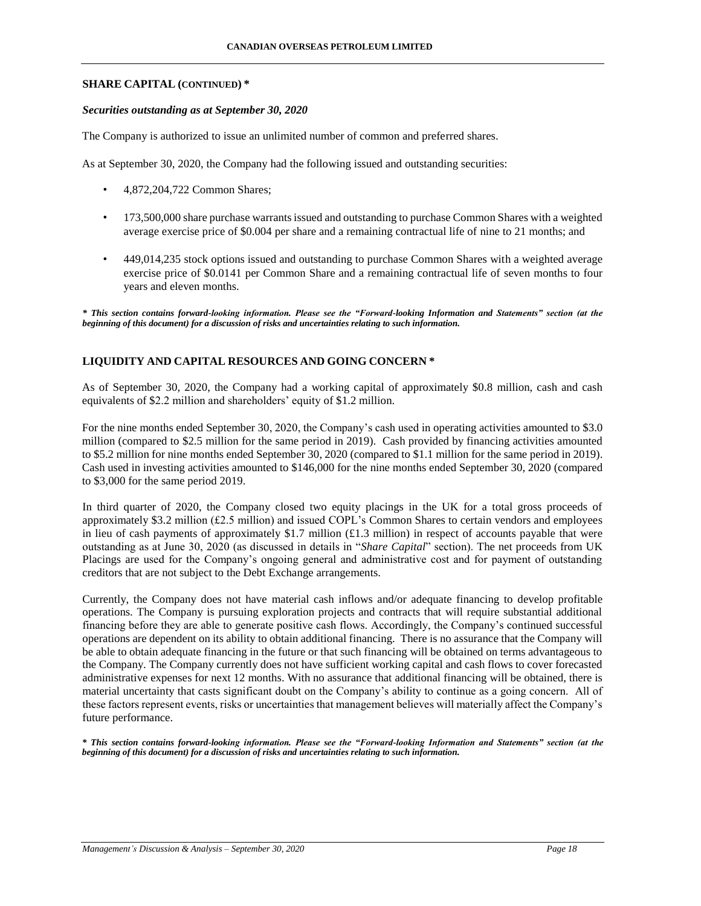### **SHARE CAPITAL (CONTINUED) \***

#### *Securities outstanding as at September 30, 2020*

The Company is authorized to issue an unlimited number of common and preferred shares.

As at September 30, 2020, the Company had the following issued and outstanding securities:

- 4,872,204,722 Common Shares;
- 173,500,000 share purchase warrants issued and outstanding to purchase Common Shares with a weighted average exercise price of \$0.004 per share and a remaining contractual life of nine to 21 months; and
- 449,014,235 stock options issued and outstanding to purchase Common Shares with a weighted average exercise price of \$0.0141 per Common Share and a remaining contractual life of seven months to four years and eleven months.

*\* This section contains forward-looking information. Please see the "Forward-looking Information and Statements" section (at the beginning of this document) for a discussion of risks and uncertainties relating to such information.*

# **LIQUIDITY AND CAPITAL RESOURCES AND GOING CONCERN \***

As of September 30, 2020, the Company had a working capital of approximately \$0.8 million, cash and cash equivalents of \$2.2 million and shareholders' equity of \$1.2 million.

For the nine months ended September 30, 2020, the Company's cash used in operating activities amounted to \$3.0 million (compared to \$2.5 million for the same period in 2019). Cash provided by financing activities amounted to \$5.2 million for nine months ended September 30, 2020 (compared to \$1.1 million for the same period in 2019). Cash used in investing activities amounted to \$146,000 for the nine months ended September 30, 2020 (compared to \$3,000 for the same period 2019.

In third quarter of 2020, the Company closed two equity placings in the UK for a total gross proceeds of approximately \$3.2 million (£2.5 million) and issued COPL's Common Shares to certain vendors and employees in lieu of cash payments of approximately \$1.7 million  $(f1.3 \text{ million})$  in respect of accounts payable that were outstanding as at June 30, 2020 (as discussed in details in "*Share Capital*" section). The net proceeds from UK Placings are used for the Company's ongoing general and administrative cost and for payment of outstanding creditors that are not subject to the Debt Exchange arrangements.

Currently, the Company does not have material cash inflows and/or adequate financing to develop profitable operations. The Company is pursuing exploration projects and contracts that will require substantial additional financing before they are able to generate positive cash flows. Accordingly, the Company's continued successful operations are dependent on its ability to obtain additional financing. There is no assurance that the Company will be able to obtain adequate financing in the future or that such financing will be obtained on terms advantageous to the Company. The Company currently does not have sufficient working capital and cash flows to cover forecasted administrative expenses for next 12 months. With no assurance that additional financing will be obtained, there is material uncertainty that casts significant doubt on the Company's ability to continue as a going concern. All of these factors represent events, risks or uncertainties that management believes will materially affect the Company's future performance.

*\* This section contains forward-looking information. Please see the "Forward-looking Information and Statements" section (at the beginning of this document) for a discussion of risks and uncertainties relating to such information.*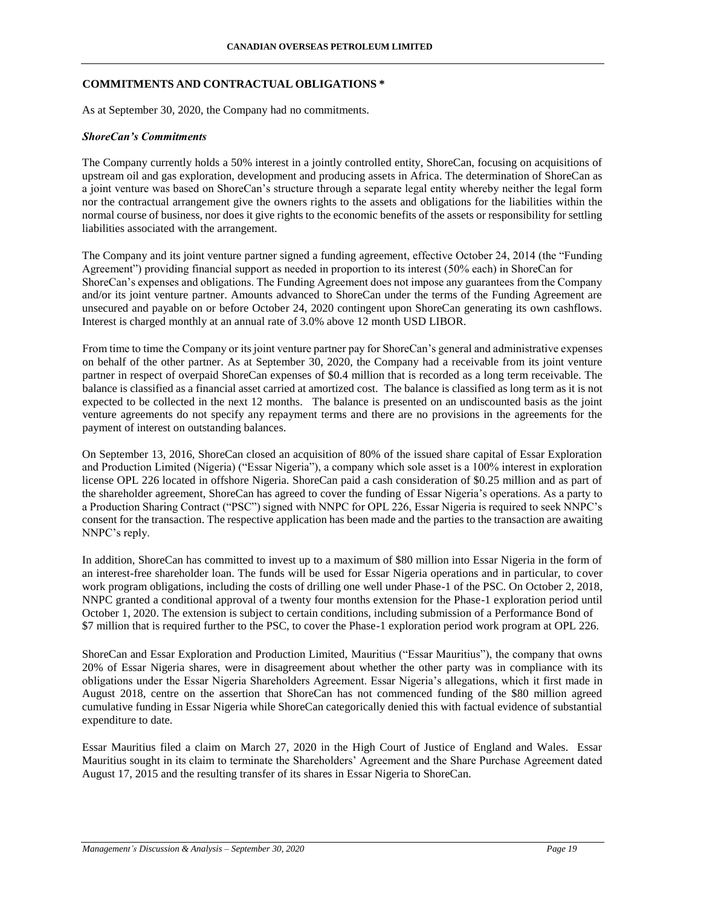#### **COMMITMENTS AND CONTRACTUAL OBLIGATIONS \***

As at September 30, 2020, the Company had no commitments.

#### *ShoreCan's Commitments*

The Company currently holds a 50% interest in a jointly controlled entity, ShoreCan, focusing on acquisitions of upstream oil and gas exploration, development and producing assets in Africa. The determination of ShoreCan as a joint venture was based on ShoreCan's structure through a separate legal entity whereby neither the legal form nor the contractual arrangement give the owners rights to the assets and obligations for the liabilities within the normal course of business, nor does it give rights to the economic benefits of the assets or responsibility for settling liabilities associated with the arrangement.

The Company and its joint venture partner signed a funding agreement, effective October 24, 2014 (the "Funding Agreement") providing financial support as needed in proportion to its interest (50% each) in ShoreCan for ShoreCan's expenses and obligations. The Funding Agreement does not impose any guarantees from the Company and/or its joint venture partner. Amounts advanced to ShoreCan under the terms of the Funding Agreement are unsecured and payable on or before October 24, 2020 contingent upon ShoreCan generating its own cashflows. Interest is charged monthly at an annual rate of 3.0% above 12 month USD LIBOR.

From time to time the Company or its joint venture partner pay for ShoreCan's general and administrative expenses on behalf of the other partner. As at September 30, 2020, the Company had a receivable from its joint venture partner in respect of overpaid ShoreCan expenses of \$0.4 million that is recorded as a long term receivable. The balance is classified as a financial asset carried at amortized cost. The balance is classified as long term as it is not expected to be collected in the next 12 months. The balance is presented on an undiscounted basis as the joint venture agreements do not specify any repayment terms and there are no provisions in the agreements for the payment of interest on outstanding balances.

On September 13, 2016, ShoreCan closed an acquisition of 80% of the issued share capital of Essar Exploration and Production Limited (Nigeria) ("Essar Nigeria"), a company which sole asset is a 100% interest in exploration license OPL 226 located in offshore Nigeria. ShoreCan paid a cash consideration of \$0.25 million and as part of the shareholder agreement, ShoreCan has agreed to cover the funding of Essar Nigeria's operations. As a party to a Production Sharing Contract ("PSC") signed with NNPC for OPL 226, Essar Nigeria is required to seek NNPC's consent for the transaction. The respective application has been made and the parties to the transaction are awaiting NNPC's reply.

In addition, ShoreCan has committed to invest up to a maximum of \$80 million into Essar Nigeria in the form of an interest-free shareholder loan. The funds will be used for Essar Nigeria operations and in particular, to cover work program obligations, including the costs of drilling one well under Phase-1 of the PSC. On October 2, 2018, NNPC granted a conditional approval of a twenty four months extension for the Phase-1 exploration period until October 1, 2020. The extension is subject to certain conditions, including submission of a Performance Bond of \$7 million that is required further to the PSC, to cover the Phase-1 exploration period work program at OPL 226.

ShoreCan and Essar Exploration and Production Limited, Mauritius ("Essar Mauritius"), the company that owns 20% of Essar Nigeria shares, were in disagreement about whether the other party was in compliance with its obligations under the Essar Nigeria Shareholders Agreement. Essar Nigeria's allegations, which it first made in August 2018, centre on the assertion that ShoreCan has not commenced funding of the \$80 million agreed cumulative funding in Essar Nigeria while ShoreCan categorically denied this with factual evidence of substantial expenditure to date.

Essar Mauritius filed a claim on March 27, 2020 in the High Court of Justice of England and Wales. Essar Mauritius sought in its claim to terminate the Shareholders' Agreement and the Share Purchase Agreement dated August 17, 2015 and the resulting transfer of its shares in Essar Nigeria to ShoreCan.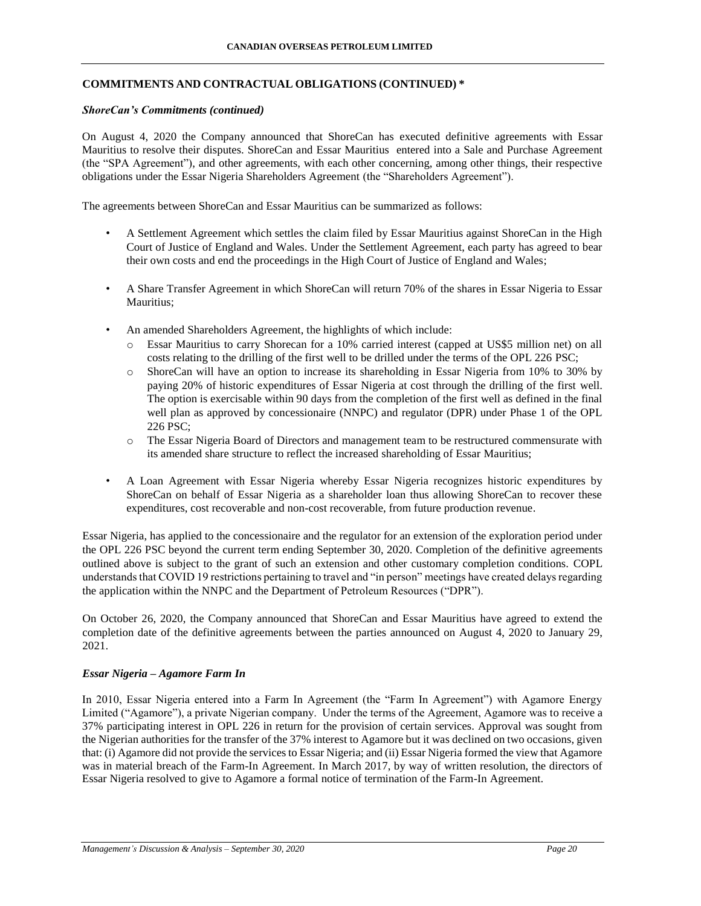## **COMMITMENTS AND CONTRACTUAL OBLIGATIONS (CONTINUED) \***

#### *ShoreCan's Commitments (continued)*

On August 4, 2020 the Company announced that ShoreCan has executed definitive agreements with Essar Mauritius to resolve their disputes. ShoreCan and Essar Mauritius entered into a Sale and Purchase Agreement (the "SPA Agreement"), and other agreements, with each other concerning, among other things, their respective obligations under the Essar Nigeria Shareholders Agreement (the "Shareholders Agreement").

The agreements between ShoreCan and Essar Mauritius can be summarized as follows:

- A Settlement Agreement which settles the claim filed by Essar Mauritius against ShoreCan in the High Court of Justice of England and Wales. Under the Settlement Agreement, each party has agreed to bear their own costs and end the proceedings in the High Court of Justice of England and Wales;
- A Share Transfer Agreement in which ShoreCan will return 70% of the shares in Essar Nigeria to Essar Mauritius;
- An amended Shareholders Agreement, the highlights of which include:
	- o Essar Mauritius to carry Shorecan for a 10% carried interest (capped at US\$5 million net) on all costs relating to the drilling of the first well to be drilled under the terms of the OPL 226 PSC;
	- o ShoreCan will have an option to increase its shareholding in Essar Nigeria from 10% to 30% by paying 20% of historic expenditures of Essar Nigeria at cost through the drilling of the first well. The option is exercisable within 90 days from the completion of the first well as defined in the final well plan as approved by concessionaire (NNPC) and regulator (DPR) under Phase 1 of the OPL 226 PSC;
	- o The Essar Nigeria Board of Directors and management team to be restructured commensurate with its amended share structure to reflect the increased shareholding of Essar Mauritius;
- A Loan Agreement with Essar Nigeria whereby Essar Nigeria recognizes historic expenditures by ShoreCan on behalf of Essar Nigeria as a shareholder loan thus allowing ShoreCan to recover these expenditures, cost recoverable and non-cost recoverable, from future production revenue.

Essar Nigeria, has applied to the concessionaire and the regulator for an extension of the exploration period under the OPL 226 PSC beyond the current term ending September 30, 2020. Completion of the definitive agreements outlined above is subject to the grant of such an extension and other customary completion conditions. COPL understands that COVID 19 restrictions pertaining to travel and "in person" meetings have created delays regarding the application within the NNPC and the Department of Petroleum Resources ("DPR").

On October 26, 2020, the Company announced that ShoreCan and Essar Mauritius have agreed to extend the completion date of the definitive agreements between the parties announced on August 4, 2020 to January 29, 2021.

#### *Essar Nigeria – Agamore Farm In*

In 2010, Essar Nigeria entered into a Farm In Agreement (the "Farm In Agreement") with Agamore Energy Limited ("Agamore"), a private Nigerian company. Under the terms of the Agreement, Agamore was to receive a 37% participating interest in OPL 226 in return for the provision of certain services. Approval was sought from the Nigerian authorities for the transfer of the 37% interest to Agamore but it was declined on two occasions, given that: (i) Agamore did not provide the services to Essar Nigeria; and (ii) Essar Nigeria formed the view that Agamore was in material breach of the Farm-In Agreement. In March 2017, by way of written resolution, the directors of Essar Nigeria resolved to give to Agamore a formal notice of termination of the Farm-In Agreement.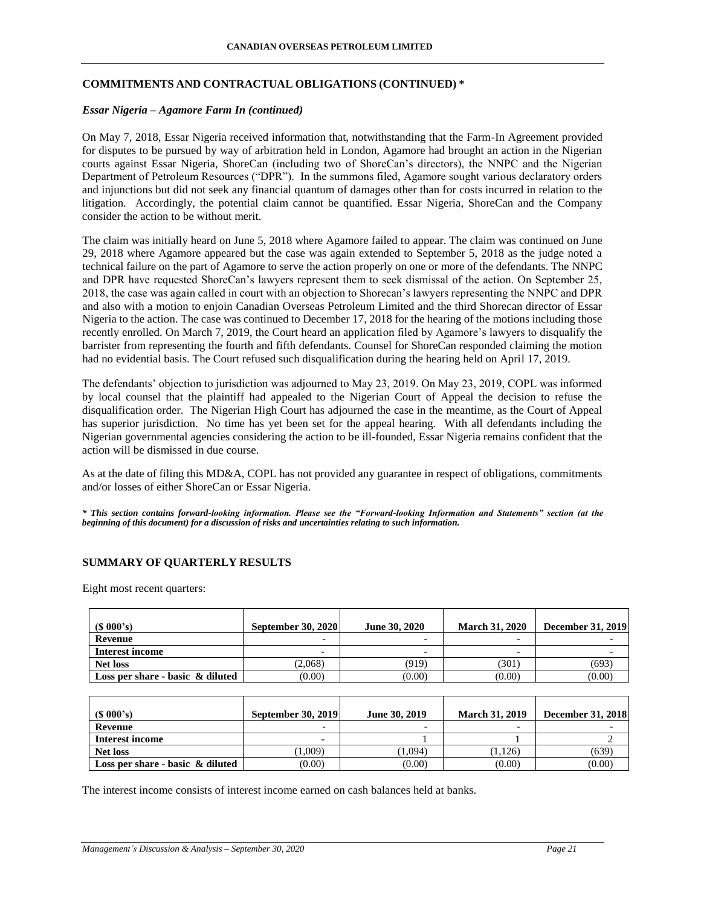## **COMMITMENTS AND CONTRACTUAL OBLIGATIONS (CONTINUED) \***

### *Essar Nigeria – Agamore Farm In (continued)*

On May 7, 2018, Essar Nigeria received information that, notwithstanding that the Farm-In Agreement provided for disputes to be pursued by way of arbitration held in London, Agamore had brought an action in the Nigerian courts against Essar Nigeria, ShoreCan (including two of ShoreCan's directors), the NNPC and the Nigerian Department of Petroleum Resources ("DPR"). In the summons filed, Agamore sought various declaratory orders and injunctions but did not seek any financial quantum of damages other than for costs incurred in relation to the litigation. Accordingly, the potential claim cannot be quantified. Essar Nigeria, ShoreCan and the Company consider the action to be without merit.

The claim was initially heard on June 5, 2018 where Agamore failed to appear. The claim was continued on June 29, 2018 where Agamore appeared but the case was again extended to September 5, 2018 as the judge noted a technical failure on the part of Agamore to serve the action properly on one or more of the defendants. The NNPC and DPR have requested ShoreCan's lawyers represent them to seek dismissal of the action. On September 25, 2018, the case was again called in court with an objection to Shorecan's lawyers representing the NNPC and DPR and also with a motion to enjoin Canadian Overseas Petroleum Limited and the third Shorecan director of Essar Nigeria to the action. The case was continued to December 17, 2018 for the hearing of the motions including those recently enrolled. On March 7, 2019, the Court heard an application filed by Agamore's lawyers to disqualify the barrister from representing the fourth and fifth defendants. Counsel for ShoreCan responded claiming the motion had no evidential basis. The Court refused such disqualification during the hearing held on April 17, 2019.

The defendants' objection to jurisdiction was adjourned to May 23, 2019. On May 23, 2019, COPL was informed by local counsel that the plaintiff had appealed to the Nigerian Court of Appeal the decision to refuse the disqualification order. The Nigerian High Court has adjourned the case in the meantime, as the Court of Appeal has superior jurisdiction. No time has yet been set for the appeal hearing. With all defendants including the Nigerian governmental agencies considering the action to be ill-founded, Essar Nigeria remains confident that the action will be dismissed in due course.

As at the date of filing this MD&A, COPL has not provided any guarantee in respect of obligations, commitments and/or losses of either ShoreCan or Essar Nigeria.

*\* This section contains forward-looking information. Please see the "Forward-looking Information and Statements" section (at the beginning of this document) for a discussion of risks and uncertainties relating to such information.*

## **SUMMARY OF QUARTERLY RESULTS**

Eight most recent quarters:

| $(S\ 000's)$                        | <b>September 30, 2020</b> | June 30, 2020 | <b>March 31, 2020</b>    | <b>December 31, 2019</b> |
|-------------------------------------|---------------------------|---------------|--------------------------|--------------------------|
| Revenue                             |                           |               | $\overline{\phantom{0}}$ |                          |
| <b>Interest income</b>              |                           |               |                          |                          |
| <b>Net loss</b>                     | (2,068)                   | (919)         | (301)                    | (693)                    |
| Loss per share - basic $\&$ diluted | (0.00)                    | (0.00)        | (0.00)                   | (0.00)                   |
|                                     |                           |               |                          |                          |
| $(S\ 000's)$                        | <b>September 30, 2019</b> | June 30, 2019 | <b>March 31, 2019</b>    | <b>December 31, 2018</b> |
| Revenue                             |                           |               |                          |                          |

**Interest income**  $\qquad \qquad$   $\qquad \qquad$   $\qquad \qquad$  1  $\qquad \qquad$  1  $\qquad \qquad$  2 **Net loss** (1,009) (1,009) (1,009) (1,126) (1,126) (639) **Loss per share -** basic & diluted (0.00) (0.00) (0.00) (0.00) (0.00) (0.00) (0.00)

The interest income consists of interest income earned on cash balances held at banks.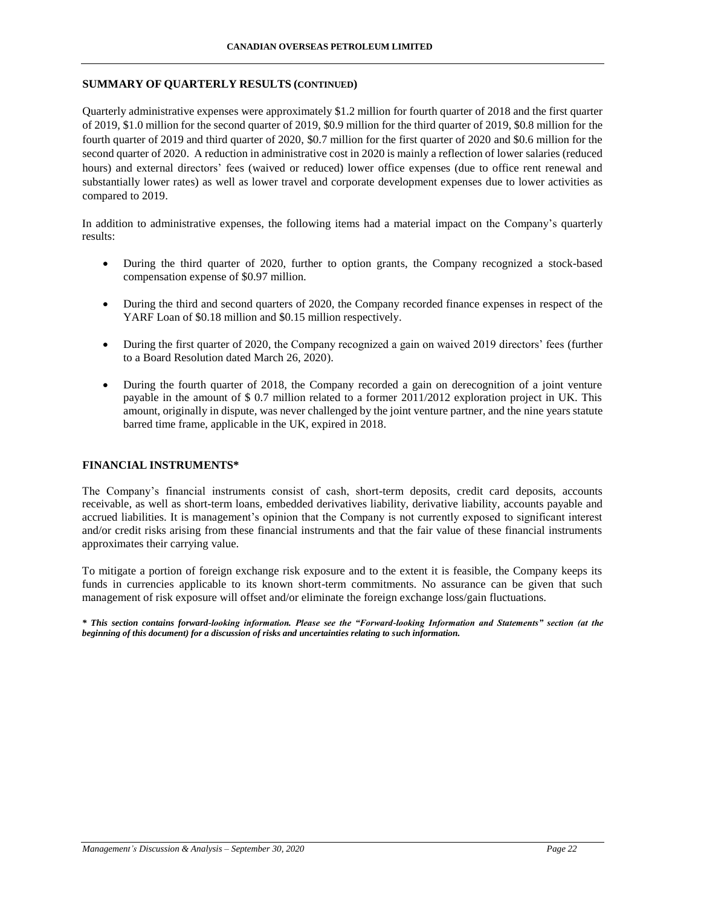### **SUMMARY OF QUARTERLY RESULTS (CONTINUED)**

Quarterly administrative expenses were approximately \$1.2 million for fourth quarter of 2018 and the first quarter of 2019, \$1.0 million for the second quarter of 2019, \$0.9 million for the third quarter of 2019, \$0.8 million for the fourth quarter of 2019 and third quarter of 2020, \$0.7 million for the first quarter of 2020 and \$0.6 million for the second quarter of 2020. A reduction in administrative cost in 2020 is mainly a reflection of lower salaries (reduced hours) and external directors' fees (waived or reduced) lower office expenses (due to office rent renewal and substantially lower rates) as well as lower travel and corporate development expenses due to lower activities as compared to 2019.

In addition to administrative expenses, the following items had a material impact on the Company's quarterly results:

- During the third quarter of 2020, further to option grants, the Company recognized a stock-based compensation expense of \$0.97 million.
- During the third and second quarters of 2020, the Company recorded finance expenses in respect of the YARF Loan of \$0.18 million and \$0.15 million respectively.
- During the first quarter of 2020, the Company recognized a gain on waived 2019 directors' fees (further to a Board Resolution dated March 26, 2020).
- During the fourth quarter of 2018, the Company recorded a gain on derecognition of a joint venture payable in the amount of \$ 0.7 million related to a former 2011/2012 exploration project in UK. This amount, originally in dispute, was never challenged by the joint venture partner, and the nine years statute barred time frame, applicable in the UK, expired in 2018.

#### **FINANCIAL INSTRUMENTS\***

The Company's financial instruments consist of cash, short-term deposits, credit card deposits, accounts receivable, as well as short-term loans, embedded derivatives liability, derivative liability, accounts payable and accrued liabilities. It is management's opinion that the Company is not currently exposed to significant interest and/or credit risks arising from these financial instruments and that the fair value of these financial instruments approximates their carrying value.

To mitigate a portion of foreign exchange risk exposure and to the extent it is feasible, the Company keeps its funds in currencies applicable to its known short-term commitments. No assurance can be given that such management of risk exposure will offset and/or eliminate the foreign exchange loss/gain fluctuations.

*\* This section contains forward-looking information. Please see the "Forward-looking Information and Statements" section (at the beginning of this document) for a discussion of risks and uncertainties relating to such information.*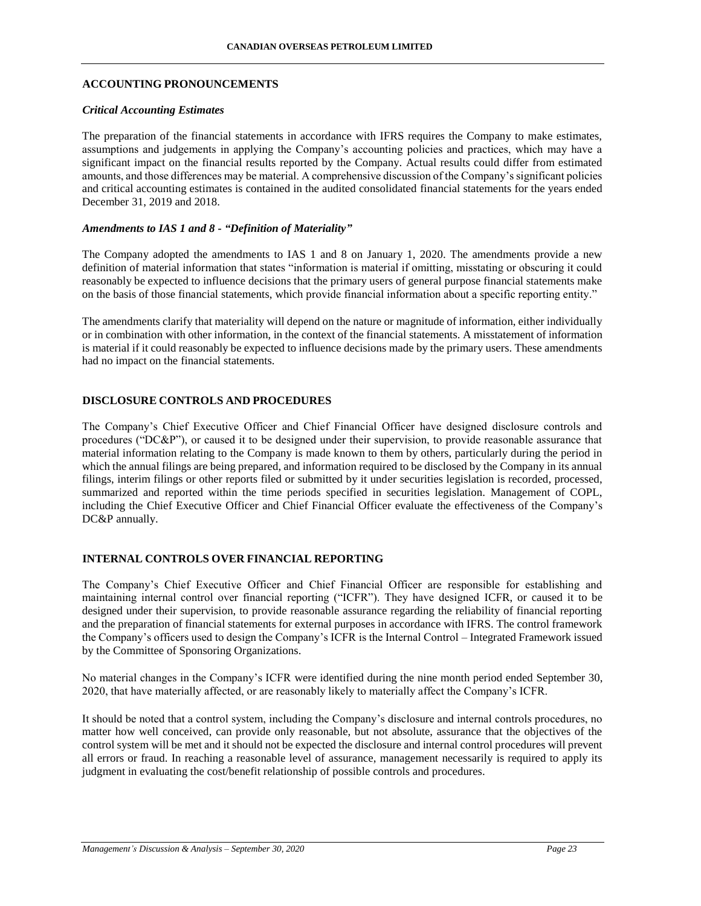#### **ACCOUNTING PRONOUNCEMENTS**

#### *Critical Accounting Estimates*

The preparation of the financial statements in accordance with IFRS requires the Company to make estimates, assumptions and judgements in applying the Company's accounting policies and practices, which may have a significant impact on the financial results reported by the Company. Actual results could differ from estimated amounts, and those differences may be material. A comprehensive discussion of the Company's significant policies and critical accounting estimates is contained in the audited consolidated financial statements for the years ended December 31, 2019 and 2018.

### *Amendments to IAS 1 and 8 - "Definition of Materiality"*

The Company adopted the amendments to IAS 1 and 8 on January 1, 2020. The amendments provide a new definition of material information that states "information is material if omitting, misstating or obscuring it could reasonably be expected to influence decisions that the primary users of general purpose financial statements make on the basis of those financial statements, which provide financial information about a specific reporting entity."

The amendments clarify that materiality will depend on the nature or magnitude of information, either individually or in combination with other information, in the context of the financial statements. A misstatement of information is material if it could reasonably be expected to influence decisions made by the primary users. These amendments had no impact on the financial statements.

## **DISCLOSURE CONTROLS AND PROCEDURES**

The Company's Chief Executive Officer and Chief Financial Officer have designed disclosure controls and procedures ("DC&P"), or caused it to be designed under their supervision, to provide reasonable assurance that material information relating to the Company is made known to them by others, particularly during the period in which the annual filings are being prepared, and information required to be disclosed by the Company in its annual filings, interim filings or other reports filed or submitted by it under securities legislation is recorded, processed, summarized and reported within the time periods specified in securities legislation. Management of COPL, including the Chief Executive Officer and Chief Financial Officer evaluate the effectiveness of the Company's DC&P annually.

#### **INTERNAL CONTROLS OVER FINANCIAL REPORTING**

The Company's Chief Executive Officer and Chief Financial Officer are responsible for establishing and maintaining internal control over financial reporting ("ICFR"). They have designed ICFR, or caused it to be designed under their supervision, to provide reasonable assurance regarding the reliability of financial reporting and the preparation of financial statements for external purposes in accordance with IFRS. The control framework the Company's officers used to design the Company's ICFR is the Internal Control – Integrated Framework issued by the Committee of Sponsoring Organizations.

No material changes in the Company's ICFR were identified during the nine month period ended September 30, 2020, that have materially affected, or are reasonably likely to materially affect the Company's ICFR.

It should be noted that a control system, including the Company's disclosure and internal controls procedures, no matter how well conceived, can provide only reasonable, but not absolute, assurance that the objectives of the control system will be met and it should not be expected the disclosure and internal control procedures will prevent all errors or fraud. In reaching a reasonable level of assurance, management necessarily is required to apply its judgment in evaluating the cost/benefit relationship of possible controls and procedures.